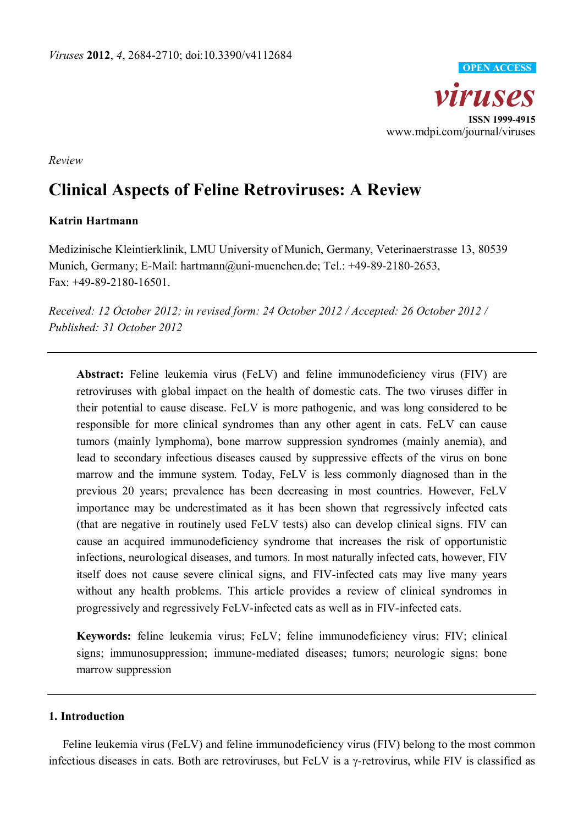

*Review*

# **Clinical Aspects of Feline Retroviruses: A Review**

## **Katrin Hartmann**

Medizinische Kleintierklinik, LMU University of Munich, Germany, Veterinaerstrasse 13, 80539 Munich, Germany; E-Mail: hartmann@uni-muenchen.de; Tel.: +49-89-2180-2653, Fax: +49-89-2180-16501.

*Received: 12 October 2012; in revised form: 24 October 2012 / Accepted: 26 October 2012 / Published: 31 October 2012*

**Abstract:** Feline leukemia virus (FeLV) and feline immunodeficiency virus (FIV) are retroviruses with global impact on the health of domestic cats. The two viruses differ in their potential to cause disease. FeLV is more pathogenic, and was long considered to be responsible for more clinical syndromes than any other agent in cats. FeLV can cause tumors (mainly lymphoma), bone marrow suppression syndromes (mainly anemia), and lead to secondary infectious diseases caused by suppressive effects of the virus on bone marrow and the immune system. Today, FeLV is less commonly diagnosed than in the previous 20 years; prevalence has been decreasing in most countries. However, FeLV importance may be underestimated as it has been shown that regressively infected cats (that are negative in routinely used FeLV tests) also can develop clinical signs. FIV can cause an acquired immunodeficiency syndrome that increases the risk of opportunistic infections, neurological diseases, and tumors. In most naturally infected cats, however, FIV itself does not cause severe clinical signs, and FIV-infected cats may live many years without any health problems. This article provides a review of clinical syndromes in progressively and regressively FeLV-infected cats as well as in FIV-infected cats.

**Keywords:** feline leukemia virus; FeLV; feline immunodeficiency virus; FIV; clinical signs; immunosuppression; immune-mediated diseases; tumors; neurologic signs; bone marrow suppression

# **1. Introduction**

Feline leukemia virus (FeLV) and feline immunodeficiency virus (FIV) belong to the most common infectious diseases in cats. Both are retroviruses, but FeLV is a γ-retrovirus, while FIV is classified as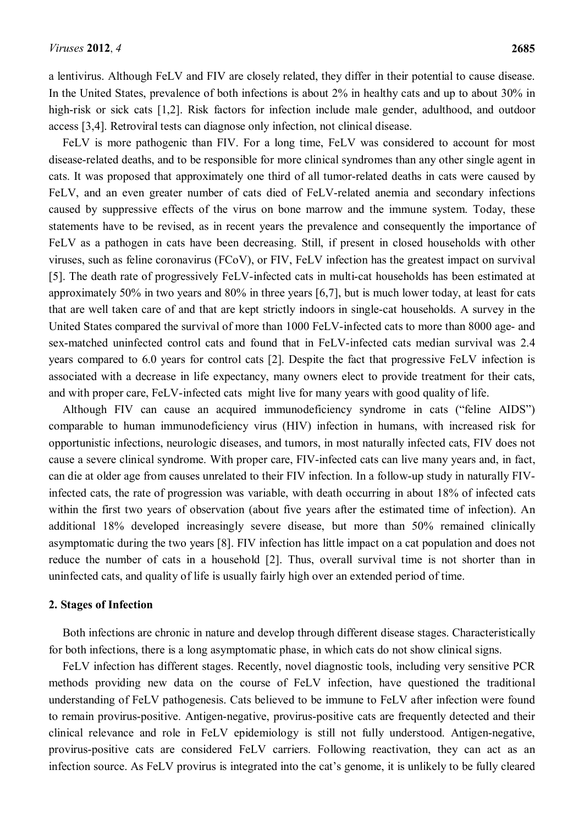a lentivirus. Although FeLV and FIV are closely related, they differ in their potential to cause disease. In the United States, prevalence of both infections is about 2% in healthy cats and up to about 30% in high-risk or sick cats [\[1,](#page-15-0)[2\]](#page-15-1). Risk factors for infection include male gender, adulthood, and outdoor access [\[3](#page-15-2)[,4\]](#page-15-3). Retroviral tests can diagnose only infection, not clinical disease.

FeLV is more pathogenic than FIV. For a long time, FeLV was considered to account for most disease-related deaths, and to be responsible for more clinical syndromes than any other single agent in cats. It was proposed that approximately one third of all tumor-related deaths in cats were caused by FeLV, and an even greater number of cats died of FeLV-related anemia and secondary infections caused by suppressive effects of the virus on bone marrow and the immune system. Today, these statements have to be revised, as in recent years the prevalence and consequently the importance of FeLV as a pathogen in cats have been decreasing. Still, if present in closed households with other viruses, such as feline coronavirus (FCoV), or FIV, FeLV infection has the greatest impact on survival [\[5\]](#page-15-4). The death rate of progressively FeLV-infected cats in multi-cat households has been estimated at approximately 50% in two years and 80% in three years [\[6,](#page-15-5)[7\]](#page-15-6), but is much lower today, at least for cats that are well taken care of and that are kept strictly indoors in single-cat households. A survey in the United States compared the survival of more than 1000 FeLV-infected cats to more than 8000 age- and sex-matched uninfected control cats and found that in FeLV-infected cats median survival was 2.4 years compared to 6.0 years for control cats [\[2\]](#page-15-1). Despite the fact that progressive FeLV infection is associated with a decrease in life expectancy, many owners elect to provide treatment for their cats, and with proper care, FeLV-infected cats might live for many years with good quality of life.

Although FIV can cause an acquired immunodeficiency syndrome in cats ("feline AIDS") comparable to human immunodeficiency virus (HIV) infection in humans, with increased risk for opportunistic infections, neurologic diseases, and tumors, in most naturally infected cats, FIV does not cause a severe clinical syndrome. With proper care, FIV-infected cats can live many years and, in fact, can die at older age from causes unrelated to their FIV infection. In a follow-up study in naturally FIVinfected cats, the rate of progression was variable, with death occurring in about 18% of infected cats within the first two years of observation (about five years after the estimated time of infection). An additional 18% developed increasingly severe disease, but more than 50% remained clinically asymptomatic during the two years [\[8\]](#page-15-7). FIV infection has little impact on a cat population and does not reduce the number of cats in a household [\[2\]](#page-15-1). Thus, overall survival time is not shorter than in uninfected cats, and quality of life is usually fairly high over an extended period of time.

#### **2. Stages of Infection**

Both infections are chronic in nature and develop through different disease stages. Characteristically for both infections, there is a long asymptomatic phase, in which cats do not show clinical signs.

FeLV infection has different stages. Recently, novel diagnostic tools, including very sensitive PCR methods providing new data on the course of FeLV infection, have questioned the traditional understanding of FeLV pathogenesis. Cats believed to be immune to FeLV after infection were found to remain provirus-positive. Antigen-negative, provirus-positive cats are frequently detected and their clinical relevance and role in FeLV epidemiology is still not fully understood. Antigen-negative, provirus-positive cats are considered FeLV carriers. Following reactivation, they can act as an infection source. As FeLV provirus is integrated into the cat's genome, it is unlikely to be fully cleared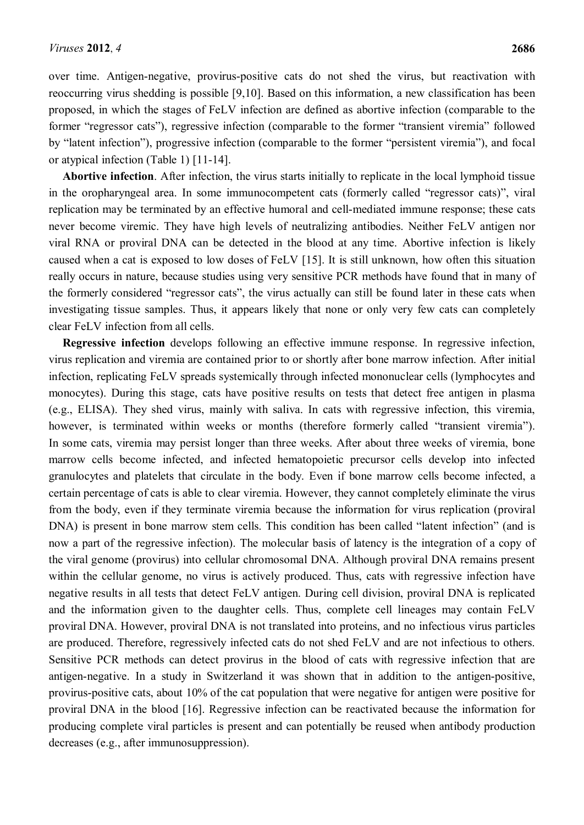over time. Antigen-negative, provirus-positive cats do not shed the virus, but reactivation with reoccurring virus shedding is possible [\[9,](#page-15-8)[10\]](#page-15-9). Based on this information, a new classification has been proposed, in which the stages of FeLV infection are defined as abortive infection (comparable to the former "regressor cats"), regressive infection (comparable to the former "transient viremia" followed by "latent infection"), progressive infection (comparable to the former "persistent viremia"), and focal or atypical infection (Table 1) [\[11-14\]](#page-15-10).

**Abortive infection**. After infection, the virus starts initially to replicate in the local lymphoid tissue in the oropharyngeal area. In some immunocompetent cats (formerly called "regressor cats)", viral replication may be terminated by an effective humoral and cell-mediated immune response; these cats never become viremic. They have high levels of neutralizing antibodies. Neither FeLV antigen nor viral RNA or proviral DNA can be detected in the blood at any time. Abortive infection is likely caused when a cat is exposed to low doses of FeLV [\[15\]](#page-16-0). It is still unknown, how often this situation really occurs in nature, because studies using very sensitive PCR methods have found that in many of the formerly considered "regressor cats", the virus actually can still be found later in these cats when investigating tissue samples. Thus, it appears likely that none or only very few cats can completely clear FeLV infection from all cells.

**Regressive infection** develops following an effective immune response. In regressive infection, virus replication and viremia are contained prior to or shortly after bone marrow infection. After initial infection, replicating FeLV spreads systemically through infected mononuclear cells (lymphocytes and monocytes). During this stage, cats have positive results on tests that detect free antigen in plasma (e.g., ELISA). They shed virus, mainly with saliva. In cats with regressive infection, this viremia, however, is terminated within weeks or months (therefore formerly called "transient viremia"). In some cats, viremia may persist longer than three weeks. After about three weeks of viremia, bone marrow cells become infected, and infected hematopoietic precursor cells develop into infected granulocytes and platelets that circulate in the body. Even if bone marrow cells become infected, a certain percentage of cats is able to clear viremia. However, they cannot completely eliminate the virus from the body, even if they terminate viremia because the information for virus replication (proviral DNA) is present in bone marrow stem cells. This condition has been called "latent infection" (and is now a part of the regressive infection). The molecular basis of latency is the integration of a copy of the viral genome (provirus) into cellular chromosomal DNA. Although proviral DNA remains present within the cellular genome, no virus is actively produced. Thus, cats with regressive infection have negative results in all tests that detect FeLV antigen. During cell division, proviral DNA is replicated and the information given to the daughter cells. Thus, complete cell lineages may contain FeLV proviral DNA. However, proviral DNA is not translated into proteins, and no infectious virus particles are produced. Therefore, regressively infected cats do not shed FeLV and are not infectious to others. Sensitive PCR methods can detect provirus in the blood of cats with regressive infection that are antigen-negative. In a study in Switzerland it was shown that in addition to the antigen-positive, provirus-positive cats, about 10% of the cat population that were negative for antigen were positive for proviral DNA in the blood [\[16\]](#page-16-1). Regressive infection can be reactivated because the information for producing complete viral particles is present and can potentially be reused when antibody production decreases (e.g., after immunosuppression).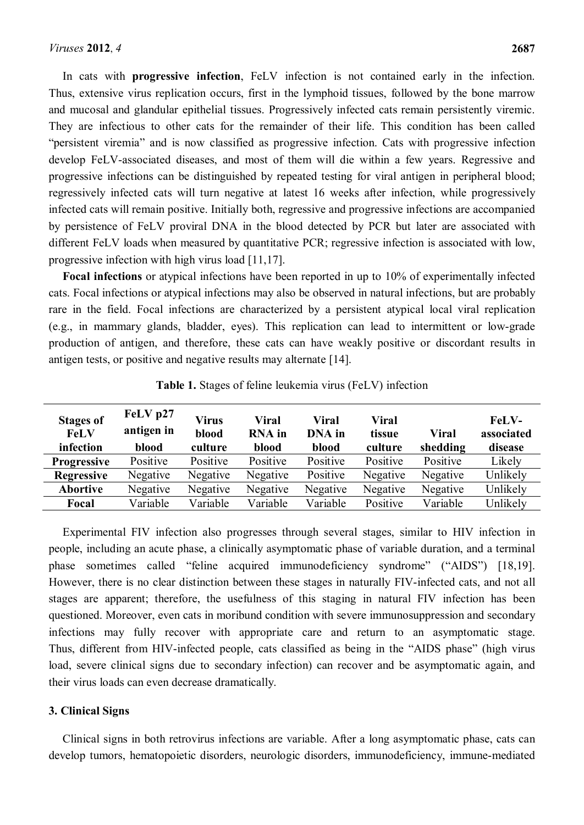In cats with **progressive infection**, FeLV infection is not contained early in the infection. Thus, extensive virus replication occurs, first in the lymphoid tissues, followed by the bone marrow and mucosal and glandular epithelial tissues. Progressively infected cats remain persistently viremic. They are infectious to other cats for the remainder of their life. This condition has been called "persistent viremia" and is now classified as progressive infection. Cats with progressive infection develop FeLV-associated diseases, and most of them will die within a few years. Regressive and progressive infections can be distinguished by repeated testing for viral antigen in peripheral blood; regressively infected cats will turn negative at latest 16 weeks after infection, while progressively infected cats will remain positive. Initially both, regressive and progressive infections are accompanied by persistence of FeLV proviral DNA in the blood detected by PCR but later are associated with different FeLV loads when measured by quantitative PCR; regressive infection is associated with low, progressive infection with high virus load [\[11](#page-15-10)[,17\]](#page-16-2).

**Focal infections** or atypical infections have been reported in up to 10% of experimentally infected cats. Focal infections or atypical infections may also be observed in natural infections, but are probably rare in the field. Focal infections are characterized by a persistent atypical local viral replication (e.g., in mammary glands, bladder, eyes). This replication can lead to intermittent or low-grade production of antigen, and therefore, these cats can have weakly positive or discordant results in antigen tests, or positive and negative results may alternate [\[14\]](#page-15-11).

| <b>Stages of</b><br>FeLV<br>infection | FeLV p27<br>antigen in<br>blood | Virus<br>blood<br>culture | Viral<br><b>RNA</b> in<br>blood | Viral<br>DNA in<br>blood | Viral<br>tissue<br>culture | Viral<br>shedding | <b>FeLV-</b><br>associated<br>disease |
|---------------------------------------|---------------------------------|---------------------------|---------------------------------|--------------------------|----------------------------|-------------------|---------------------------------------|
| <b>Progressive</b>                    | Positive                        | Positive                  | Positive                        | Positive                 | Positive                   | Positive          | Likely                                |
| <b>Regressive</b>                     | Negative                        | Negative                  | Negative                        | Positive                 | Negative                   | Negative          | Unlikely                              |
| <b>Abortive</b>                       | Negative                        | Negative                  | Negative                        | Negative                 | Negative                   | Negative          | Unlikely                              |
| Focal                                 | Variable                        | Variable                  | Variable                        | Variable                 | Positive                   | Variable          | Unlikely                              |

**Table 1.** Stages of feline leukemia virus (FeLV) infection

Experimental FIV infection also progresses through several stages, similar to HIV infection in people, including an acute phase, a clinically asymptomatic phase of variable duration, and a terminal phase sometimes called "feline acquired immunodeficiency syndrome" ("AIDS") [\[18](#page-16-3)[,19\]](#page-16-4). However, there is no clear distinction between these stages in naturally FIV-infected cats, and not all stages are apparent; therefore, the usefulness of this staging in natural FIV infection has been questioned. Moreover, even cats in moribund condition with severe immunosuppression and secondary infections may fully recover with appropriate care and return to an asymptomatic stage. Thus, different from HIV-infected people, cats classified as being in the "AIDS phase" (high virus load, severe clinical signs due to secondary infection) can recover and be asymptomatic again, and their virus loads can even decrease dramatically.

## **3. Clinical Signs**

Clinical signs in both retrovirus infections are variable. After a long asymptomatic phase, cats can develop tumors, hematopoietic disorders, neurologic disorders, immunodeficiency, immune-mediated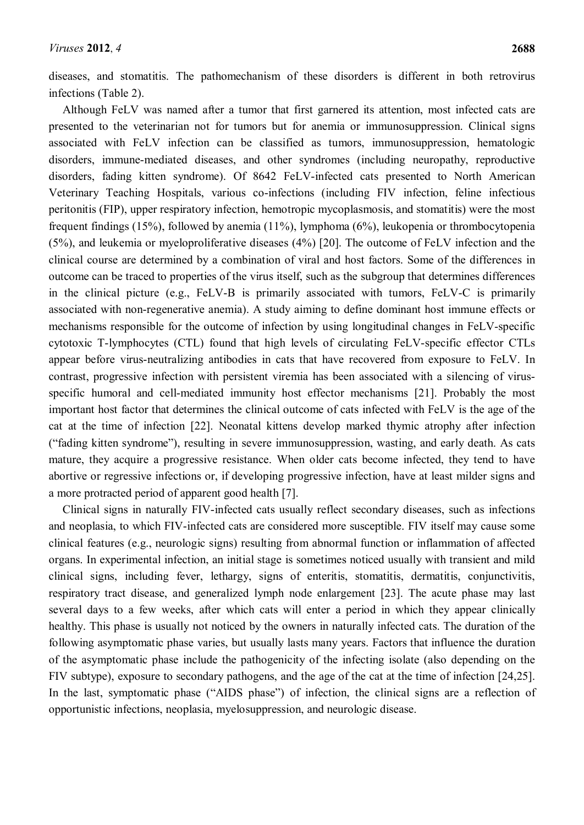diseases, and stomatitis. The pathomechanism of these disorders is different in both retrovirus infections (Table 2).

Although FeLV was named after a tumor that first garnered its attention, most infected cats are presented to the veterinarian not for tumors but for anemia or immunosuppression. Clinical signs associated with FeLV infection can be classified as tumors, immunosuppression, hematologic disorders, immune-mediated diseases, and other syndromes (including neuropathy, reproductive disorders, fading kitten syndrome). Of 8642 FeLV-infected cats presented to North American Veterinary Teaching Hospitals, various co-infections (including FIV infection, feline infectious peritonitis (FIP), upper respiratory infection, hemotropic mycoplasmosis, and stomatitis) were the most frequent findings (15%), followed by anemia (11%), lymphoma (6%), leukopenia or thrombocytopenia (5%), and leukemia or myeloproliferative diseases (4%) [\[20\]](#page-16-5). The outcome of FeLV infection and the clinical course are determined by a combination of viral and host factors. Some of the differences in outcome can be traced to properties of the virus itself, such as the subgroup that determines differences in the clinical picture (e.g., FeLV-B is primarily associated with tumors, FeLV-C is primarily associated with non-regenerative anemia). A study aiming to define dominant host immune effects or mechanisms responsible for the outcome of infection by using longitudinal changes in FeLV-specific cytotoxic T-lymphocytes (CTL) found that high levels of circulating FeLV-specific effector CTLs appear before virus-neutralizing antibodies in cats that have recovered from exposure to FeLV. In contrast, progressive infection with persistent viremia has been associated with a silencing of virusspecific humoral and cell-mediated immunity host effector mechanisms [\[21\]](#page-16-6). Probably the most important host factor that determines the clinical outcome of cats infected with FeLV is the age of the cat at the time of infection [\[22\]](#page-16-7). Neonatal kittens develop marked thymic atrophy after infection ("fading kitten syndrome"), resulting in severe immunosuppression, wasting, and early death. As cats mature, they acquire a progressive resistance. When older cats become infected, they tend to have abortive or regressive infections or, if developing progressive infection, have at least milder signs and a more protracted period of apparent good health [\[7\]](#page-15-6).

Clinical signs in naturally FIV-infected cats usually reflect secondary diseases, such as infections and neoplasia, to which FIV-infected cats are considered more susceptible. FIV itself may cause some clinical features (e.g., neurologic signs) resulting from abnormal function or inflammation of affected organs. In experimental infection, an initial stage is sometimes noticed usually with transient and mild clinical signs, including fever, lethargy, signs of enteritis, stomatitis, dermatitis, conjunctivitis, respiratory tract disease, and generalized lymph node enlargement [\[23\]](#page-16-8). The acute phase may last several days to a few weeks, after which cats will enter a period in which they appear clinically healthy. This phase is usually not noticed by the owners in naturally infected cats. The duration of the following asymptomatic phase varies, but usually lasts many years. Factors that influence the duration of the asymptomatic phase include the pathogenicity of the infecting isolate (also depending on the FIV subtype), exposure to secondary pathogens, and the age of the cat at the time of infection [\[24](#page-16-9)[,25\]](#page-16-10). In the last, symptomatic phase ("AIDS phase") of infection, the clinical signs are a reflection of opportunistic infections, neoplasia, myelosuppression, and neurologic disease.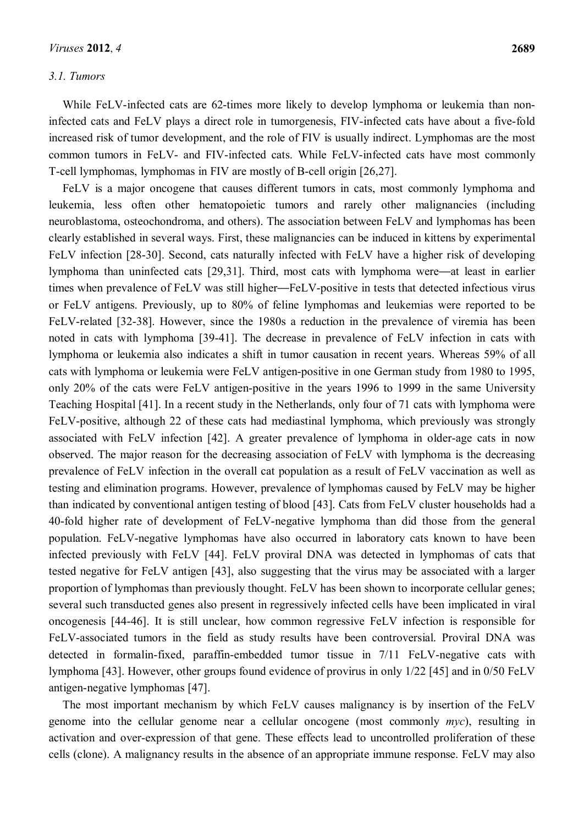## *3.1. Tumors*

While FeLV-infected cats are 62-times more likely to develop lymphoma or leukemia than noninfected cats and FeLV plays a direct role in tumorgenesis, FIV-infected cats have about a five-fold increased risk of tumor development, and the role of FIV is usually indirect. Lymphomas are the most common tumors in FeLV- and FIV-infected cats. While FeLV-infected cats have most commonly T-cell lymphomas, lymphomas in FIV are mostly of B-cell origin [\[26](#page-16-11)[,27\]](#page-16-12).

FeLV is a major oncogene that causes different tumors in cats, most commonly lymphoma and leukemia, less often other hematopoietic tumors and rarely other malignancies (including neuroblastoma, osteochondroma, and others). The association between FeLV and lymphomas has been clearly established in several ways. First, these malignancies can be induced in kittens by experimental FeLV infection [\[28-30\]](#page-16-13). Second, cats naturally infected with FeLV have a higher risk of developing lymphoma than uninfected cats [\[29](#page-16-14)[,31\]](#page-17-0). Third, most cats with lymphoma were—at least in earlier times when prevalence of FeLV was still higher—FeLV-positive in tests that detected infectious virus or FeLV antigens. Previously, up to 80% of feline lymphomas and leukemias were reported to be FeLV-related [\[32-38\]](#page-17-1). However, since the 1980s a reduction in the prevalence of viremia has been noted in cats with lymphoma [\[39-41\]](#page-17-2). The decrease in prevalence of FeLV infection in cats with lymphoma or leukemia also indicates a shift in tumor causation in recent years. Whereas 59% of all cats with lymphoma or leukemia were FeLV antigen-positive in one German study from 1980 to 1995, only 20% of the cats were FeLV antigen-positive in the years 1996 to 1999 in the same University Teaching Hospital [\[41\]](#page-17-3). In a recent study in the Netherlands, only four of 71 cats with lymphoma were FeLV-positive, although 22 of these cats had mediastinal lymphoma, which previously was strongly associated with FeLV infection [\[42\]](#page-17-4). A greater prevalence of lymphoma in older-age cats in now observed. The major reason for the decreasing association of FeLV with lymphoma is the decreasing prevalence of FeLV infection in the overall cat population as a result of FeLV vaccination as well as testing and elimination programs. However, prevalence of lymphomas caused by FeLV may be higher than indicated by conventional antigen testing of blood [\[43\]](#page-17-5). Cats from FeLV cluster households had a 40-fold higher rate of development of FeLV-negative lymphoma than did those from the general population. FeLV-negative lymphomas have also occurred in laboratory cats known to have been infected previously with FeLV [\[44\]](#page-17-6). FeLV proviral DNA was detected in lymphomas of cats that tested negative for FeLV antigen [\[43\]](#page-17-5), also suggesting that the virus may be associated with a larger proportion of lymphomas than previously thought. FeLV has been shown to incorporate cellular genes; several such transducted genes also present in regressively infected cells have been implicated in viral oncogenesis [\[44-46\]](#page-17-6). It is still unclear, how common regressive FeLV infection is responsible for FeLV-associated tumors in the field as study results have been controversial. Proviral DNA was detected in formalin-fixed, paraffin-embedded tumor tissue in 7/11 FeLV-negative cats with lymphoma [\[43\]](#page-17-5). However, other groups found evidence of provirus in only 1/22 [\[45\]](#page-17-7) and in 0/50 FeLV antigen-negative lymphomas [\[47\]](#page-18-0).

The most important mechanism by which FeLV causes malignancy is by insertion of the FeLV genome into the cellular genome near a cellular oncogene (most commonly *myc*), resulting in activation and over-expression of that gene. These effects lead to uncontrolled proliferation of these cells (clone). A malignancy results in the absence of an appropriate immune response. FeLV may also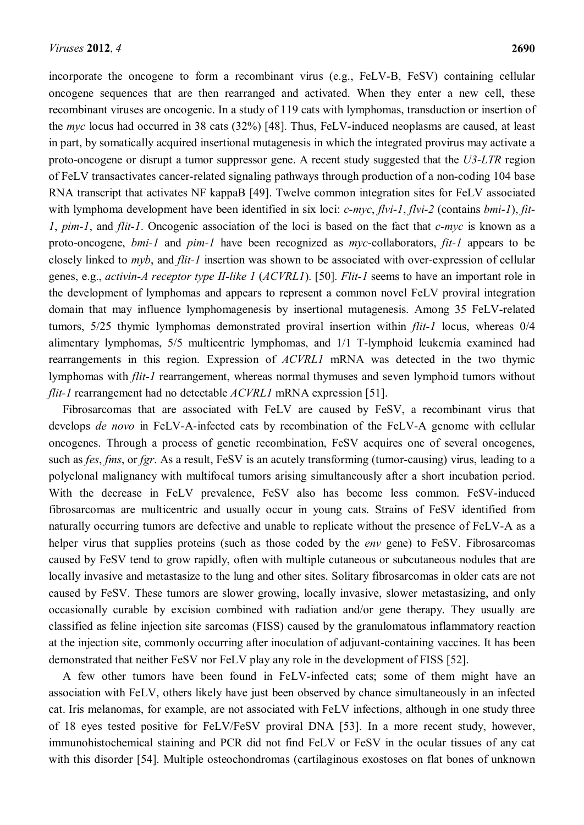incorporate the oncogene to form a recombinant virus (e.g., FeLV-B, FeSV) containing cellular oncogene sequences that are then rearranged and activated. When they enter a new cell, these recombinant viruses are oncogenic. In a study of 119 cats with lymphomas, transduction or insertion of the *myc* locus had occurred in 38 cats (32%) [\[48\]](#page-18-1). Thus, FeLV-induced neoplasms are caused, at least in part, by somatically acquired insertional mutagenesis in which the integrated provirus may activate a proto-oncogene or disrupt a tumor suppressor gene. A recent study suggested that the *U3*-*LTR* region of FeLV transactivates cancer-related signaling pathways through production of a non-coding 104 base RNA transcript that activates NF kappaB [\[49\]](#page-18-2). Twelve common integration sites for FeLV associated with lymphoma development have been identified in six loci: *c-myc*, *flvi-1*, *flvi-2* (contains *bmi-1*), *fit-1*, *pim-1*, and *flit-1*. Oncogenic association of the loci is based on the fact that *c-myc* is known as a proto-oncogene, *bmi-1* and *pim-1* have been recognized as *myc*-collaborators, *fit-1* appears to be closely linked to *myb*, and *flit-1* insertion was shown to be associated with over-expression of cellular genes, e.g., *activin-A receptor type II-like 1* (*ACVRL1*). [\[50\]](#page-18-3). *Flit-1* seems to have an important role in the development of lymphomas and appears to represent a common novel FeLV proviral integration domain that may influence lymphomagenesis by insertional mutagenesis. Among 35 FeLV-related tumors, 5/25 thymic lymphomas demonstrated proviral insertion within *flit-1* locus, whereas 0/4 alimentary lymphomas, 5/5 multicentric lymphomas, and 1/1 T-lymphoid leukemia examined had rearrangements in this region. Expression of *ACVRL1* mRNA was detected in the two thymic lymphomas with *flit-1* rearrangement, whereas normal thymuses and seven lymphoid tumors without *flit-1* rearrangement had no detectable *ACVRL1* mRNA expression [\[51\]](#page-18-4).

Fibrosarcomas that are associated with FeLV are caused by FeSV, a recombinant virus that develops *de novo* in FeLV-A-infected cats by recombination of the FeLV-A genome with cellular oncogenes. Through a process of genetic recombination, FeSV acquires one of several oncogenes, such as *fes*, *fms*, or *fgr*. As a result, FeSV is an acutely transforming (tumor-causing) virus, leading to a polyclonal malignancy with multifocal tumors arising simultaneously after a short incubation period. With the decrease in FeLV prevalence, FeSV also has become less common. FeSV-induced fibrosarcomas are multicentric and usually occur in young cats. Strains of FeSV identified from naturally occurring tumors are defective and unable to replicate without the presence of FeLV-A as a helper virus that supplies proteins (such as those coded by the *env* gene) to FeSV. Fibrosarcomas caused by FeSV tend to grow rapidly, often with multiple cutaneous or subcutaneous nodules that are locally invasive and metastasize to the lung and other sites. Solitary fibrosarcomas in older cats are not caused by FeSV. These tumors are slower growing, locally invasive, slower metastasizing, and only occasionally curable by excision combined with radiation and/or gene therapy. They usually are classified as feline injection site sarcomas (FISS) caused by the granulomatous inflammatory reaction at the injection site, commonly occurring after inoculation of adjuvant-containing vaccines. It has been demonstrated that neither FeSV nor FeLV play any role in the development of FISS [\[52\]](#page-18-5).

A few other tumors have been found in FeLV-infected cats; some of them might have an association with FeLV, others likely have just been observed by chance simultaneously in an infected cat. Iris melanomas, for example, are not associated with FeLV infections, although in one study three of 18 eyes tested positive for FeLV/FeSV proviral DNA [\[53\]](#page-18-6). In a more recent study, however, immunohistochemical staining and PCR did not find FeLV or FeSV in the ocular tissues of any cat with this disorder [\[54\]](#page-18-7). Multiple osteochondromas (cartilaginous exostoses on flat bones of unknown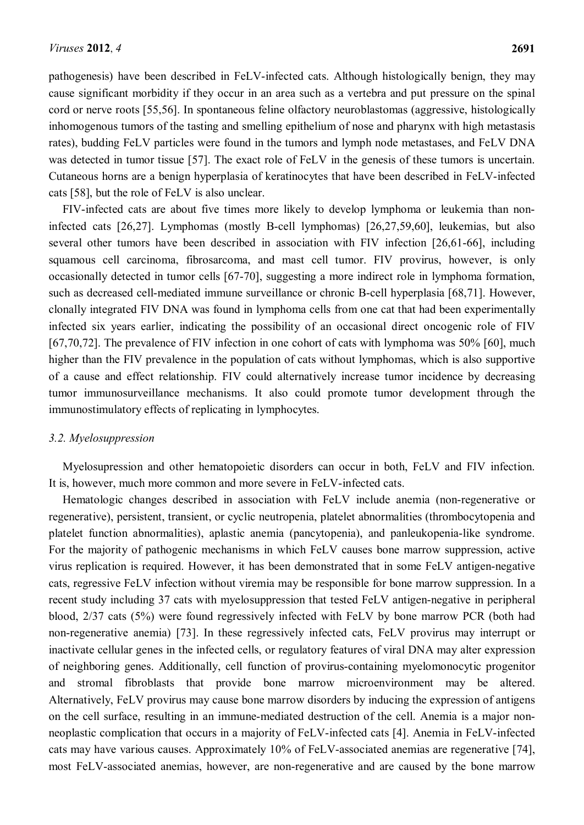pathogenesis) have been described in FeLV-infected cats. Although histologically benign, they may cause significant morbidity if they occur in an area such as a vertebra and put pressure on the spinal cord or nerve roots [\[55](#page-18-8)[,56\]](#page-18-9). In spontaneous feline olfactory neuroblastomas (aggressive, histologically inhomogenous tumors of the tasting and smelling epithelium of nose and pharynx with high metastasis rates), budding FeLV particles were found in the tumors and lymph node metastases, and FeLV DNA was detected in tumor tissue [\[57\]](#page-18-10). The exact role of FeLV in the genesis of these tumors is uncertain. Cutaneous horns are a benign hyperplasia of keratinocytes that have been described in FeLV-infected cats [\[58\]](#page-18-11), but the role of FeLV is also unclear.

FIV-infected cats are about five times more likely to develop lymphoma or leukemia than noninfected cats [\[26](#page-16-11)[,27\]](#page-16-12). Lymphomas (mostly B-cell lymphomas) [\[26](#page-16-11)[,27](#page-16-12)[,59](#page-18-12)[,60\]](#page-18-13), leukemias, but also several other tumors have been described in association with FIV infection [\[26,](#page-16-11)[61-66\]](#page-18-14), including squamous cell carcinoma, fibrosarcoma, and mast cell tumor. FIV provirus, however, is only occasionally detected in tumor cells [\[67-70\]](#page-19-0), suggesting a more indirect role in lymphoma formation, such as decreased cell-mediated immune surveillance or chronic B-cell hyperplasia [\[68,](#page-19-1)[71\]](#page-19-2). However, clonally integrated FIV DNA was found in lymphoma cells from one cat that had been experimentally infected six years earlier, indicating the possibility of an occasional direct oncogenic role of FIV [\[67](#page-19-0)[,70](#page-19-3)[,72\]](#page-19-4). The prevalence of FIV infection in one cohort of cats with lymphoma was 50% [\[60\]](#page-18-13), much higher than the FIV prevalence in the population of cats without lymphomas, which is also supportive of a cause and effect relationship. FIV could alternatively increase tumor incidence by decreasing tumor immunosurveillance mechanisms. It also could promote tumor development through the immunostimulatory effects of replicating in lymphocytes.

#### *3.2. Myelosuppression*

Myelosupression and other hematopoietic disorders can occur in both, FeLV and FIV infection. It is, however, much more common and more severe in FeLV-infected cats.

Hematologic changes described in association with FeLV include anemia (non-regenerative or regenerative), persistent, transient, or cyclic neutropenia, platelet abnormalities (thrombocytopenia and platelet function abnormalities), aplastic anemia (pancytopenia), and panleukopenia-like syndrome. For the majority of pathogenic mechanisms in which FeLV causes bone marrow suppression, active virus replication is required. However, it has been demonstrated that in some FeLV antigen-negative cats, regressive FeLV infection without viremia may be responsible for bone marrow suppression. In a recent study including 37 cats with myelosuppression that tested FeLV antigen-negative in peripheral blood, 2/37 cats (5%) were found regressively infected with FeLV by bone marrow PCR (both had non-regenerative anemia) [\[73\]](#page-19-5). In these regressively infected cats, FeLV provirus may interrupt or inactivate cellular genes in the infected cells, or regulatory features of viral DNA may alter expression of neighboring genes. Additionally, cell function of provirus-containing myelomonocytic progenitor and stromal fibroblasts that provide bone marrow microenvironment may be altered. Alternatively, FeLV provirus may cause bone marrow disorders by inducing the expression of antigens on the cell surface, resulting in an immune-mediated destruction of the cell. Anemia is a major nonneoplastic complication that occurs in a majority of FeLV-infected cats [\[4\]](#page-15-3). Anemia in FeLV-infected cats may have various causes. Approximately 10% of FeLV-associated anemias are regenerative [\[74\]](#page-19-6), most FeLV-associated anemias, however, are non-regenerative and are caused by the bone marrow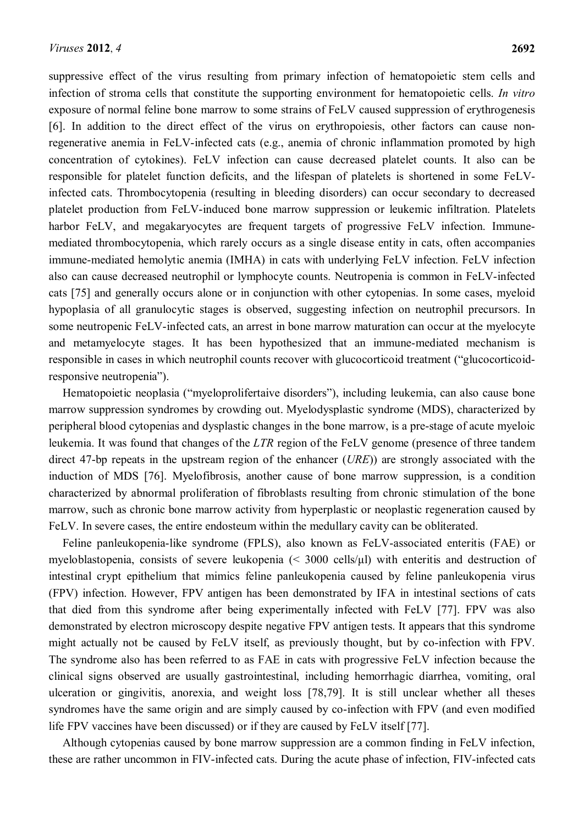suppressive effect of the virus resulting from primary infection of hematopoietic stem cells and infection of stroma cells that constitute the supporting environment for hematopoietic cells. *In vitro* exposure of normal feline bone marrow to some strains of FeLV caused suppression of erythrogenesis [\[6\]](#page-15-5). In addition to the direct effect of the virus on erythropoiesis, other factors can cause nonregenerative anemia in FeLV-infected cats (e.g., anemia of chronic inflammation promoted by high concentration of cytokines). FeLV infection can cause decreased platelet counts. It also can be responsible for platelet function deficits, and the lifespan of platelets is shortened in some FeLVinfected cats. Thrombocytopenia (resulting in bleeding disorders) can occur secondary to decreased platelet production from FeLV-induced bone marrow suppression or leukemic infiltration. Platelets harbor FeLV, and megakaryocytes are frequent targets of progressive FeLV infection. Immunemediated thrombocytopenia, which rarely occurs as a single disease entity in cats, often accompanies immune-mediated hemolytic anemia (IMHA) in cats with underlying FeLV infection. FeLV infection also can cause decreased neutrophil or lymphocyte counts. Neutropenia is common in FeLV-infected cats [\[75\]](#page-19-7) and generally occurs alone or in conjunction with other cytopenias. In some cases, myeloid hypoplasia of all granulocytic stages is observed, suggesting infection on neutrophil precursors. In some neutropenic FeLV-infected cats, an arrest in bone marrow maturation can occur at the myelocyte and metamyelocyte stages. It has been hypothesized that an immune-mediated mechanism is responsible in cases in which neutrophil counts recover with glucocorticoid treatment ("glucocorticoidresponsive neutropenia").

Hematopoietic neoplasia ("myeloprolifertaive disorders"), including leukemia, can also cause bone marrow suppression syndromes by crowding out. Myelodysplastic syndrome (MDS), characterized by peripheral blood cytopenias and dysplastic changes in the bone marrow, is a pre-stage of acute myeloic leukemia. It was found that changes of the *LTR* region of the FeLV genome (presence of three tandem direct 47-bp repeats in the upstream region of the enhancer (*URE*)) are strongly associated with the induction of MDS [\[76\]](#page-19-8). Myelofibrosis, another cause of bone marrow suppression, is a condition characterized by abnormal proliferation of fibroblasts resulting from chronic stimulation of the bone marrow, such as chronic bone marrow activity from hyperplastic or neoplastic regeneration caused by FeLV. In severe cases, the entire endosteum within the medullary cavity can be obliterated.

Feline panleukopenia-like syndrome (FPLS), also known as FeLV-associated enteritis (FAE) or myeloblastopenia, consists of severe leukopenia (< 3000 cells/μl) with enteritis and destruction of intestinal crypt epithelium that mimics feline panleukopenia caused by feline panleukopenia virus (FPV) infection. However, FPV antigen has been demonstrated by IFA in intestinal sections of cats that died from this syndrome after being experimentally infected with FeLV [\[77\]](#page-19-9). FPV was also demonstrated by electron microscopy despite negative FPV antigen tests. It appears that this syndrome might actually not be caused by FeLV itself, as previously thought, but by co-infection with FPV. The syndrome also has been referred to as FAE in cats with progressive FeLV infection because the clinical signs observed are usually gastrointestinal, including hemorrhagic diarrhea, vomiting, oral ulceration or gingivitis, anorexia, and weight loss [\[78](#page-20-0)[,79\]](#page-20-1). It is still unclear whether all theses syndromes have the same origin and are simply caused by co-infection with FPV (and even modified life FPV vaccines have been discussed) or if they are caused by FeLV itself [\[77\]](#page-19-9).

Although cytopenias caused by bone marrow suppression are a common finding in FeLV infection, these are rather uncommon in FIV-infected cats. During the acute phase of infection, FIV-infected cats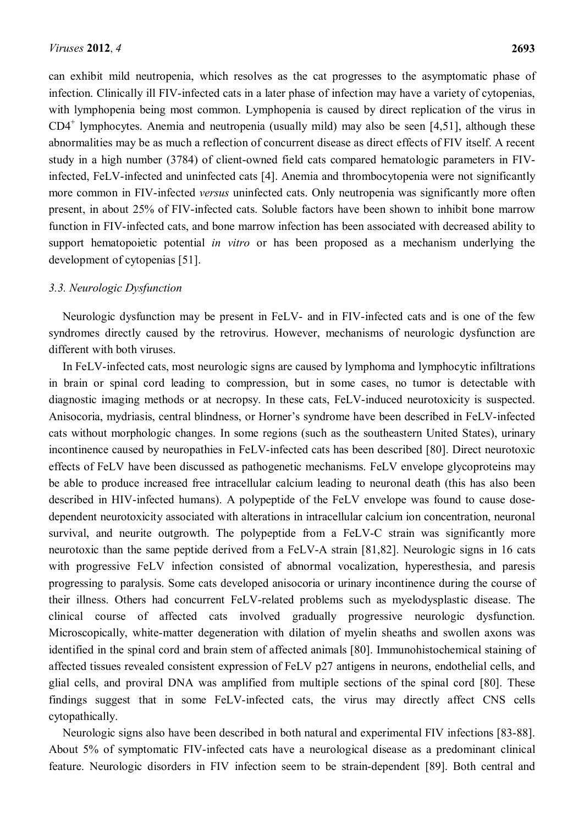can exhibit mild neutropenia, which resolves as the cat progresses to the asymptomatic phase of infection. Clinically ill FIV-infected cats in a later phase of infection may have a variety of cytopenias, with lymphopenia being most common. Lymphopenia is caused by direct replication of the virus in  $CD4^+$  lymphocytes. Anemia and neutropenia (usually mild) may also be seen [\[4](#page-15-3)[,51\]](#page-18-4), although these abnormalities may be as much a reflection of concurrent disease as direct effects of FIV itself. A recent study in a high number (3784) of client-owned field cats compared hematologic parameters in FIVinfected, FeLV-infected and uninfected cats [\[4\]](#page-15-3). Anemia and thrombocytopenia were not significantly more common in FIV-infected *versus* uninfected cats. Only neutropenia was significantly more often present, in about 25% of FIV-infected cats. Soluble factors have been shown to inhibit bone marrow function in FIV-infected cats, and bone marrow infection has been associated with decreased ability to support hematopoietic potential *in vitro* or has been proposed as a mechanism underlying the development of cytopenias [\[51\]](#page-18-4).

#### *3.3. Neurologic Dysfunction*

Neurologic dysfunction may be present in FeLV- and in FIV-infected cats and is one of the few syndromes directly caused by the retrovirus. However, mechanisms of neurologic dysfunction are different with both viruses.

In FeLV-infected cats, most neurologic signs are caused by lymphoma and lymphocytic infiltrations in brain or spinal cord leading to compression, but in some cases, no tumor is detectable with diagnostic imaging methods or at necropsy. In these cats, FeLV-induced neurotoxicity is suspected. Anisocoria, mydriasis, central blindness, or Horner's syndrome have been described in FeLV-infected cats without morphologic changes. In some regions (such as the southeastern United States), urinary incontinence caused by neuropathies in FeLV-infected cats has been described [\[80\]](#page-20-2). Direct neurotoxic effects of FeLV have been discussed as pathogenetic mechanisms. FeLV envelope glycoproteins may be able to produce increased free intracellular calcium leading to neuronal death (this has also been described in HIV-infected humans). A polypeptide of the FeLV envelope was found to cause dosedependent neurotoxicity associated with alterations in intracellular calcium ion concentration, neuronal survival, and neurite outgrowth. The polypeptide from a FeLV-C strain was significantly more neurotoxic than the same peptide derived from a FeLV-A strain [\[81,](#page-20-3)[82\]](#page-20-4). Neurologic signs in 16 cats with progressive FeLV infection consisted of abnormal vocalization, hyperesthesia, and paresis progressing to paralysis. Some cats developed anisocoria or urinary incontinence during the course of their illness. Others had concurrent FeLV-related problems such as myelodysplastic disease. The clinical course of affected cats involved gradually progressive neurologic dysfunction. Microscopically, white-matter degeneration with dilation of myelin sheaths and swollen axons was identified in the spinal cord and brain stem of affected animals [\[80\]](#page-20-2). Immunohistochemical staining of affected tissues revealed consistent expression of FeLV p27 antigens in neurons, endothelial cells, and glial cells, and proviral DNA was amplified from multiple sections of the spinal cord [\[80\]](#page-20-2). These findings suggest that in some FeLV-infected cats, the virus may directly affect CNS cells cytopathically.

Neurologic signs also have been described in both natural and experimental FIV infections [\[83-88\]](#page-20-5). About 5% of symptomatic FIV-infected cats have a neurological disease as a predominant clinical feature. Neurologic disorders in FIV infection seem to be strain-dependent [\[89\]](#page-20-6). Both central and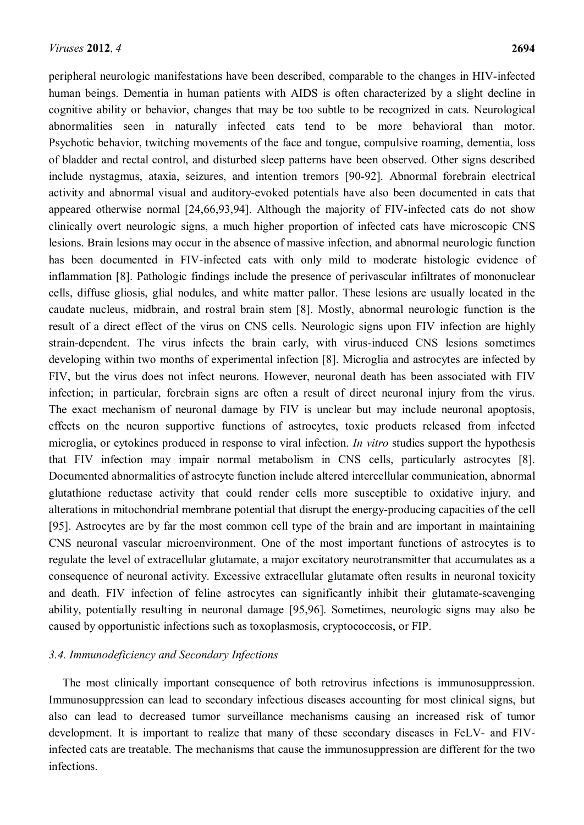peripheral neurologic manifestations have been described, comparable to the changes in HIV-infected human beings. Dementia in human patients with AIDS is often characterized by a slight decline in cognitive ability or behavior, changes that may be too subtle to be recognized in cats. Neurological abnormalities seen in naturally infected cats tend to be more behavioral than motor. Psychotic behavior, twitching movements of the face and tongue, compulsive roaming, dementia, loss of bladder and rectal control, and disturbed sleep patterns have been observed. Other signs described include nystagmus, ataxia, seizures, and intention tremors [\[90-92\]](#page-20-7). Abnormal forebrain electrical activity and abnormal visual and auditory-evoked potentials have also been documented in cats that appeared otherwise normal [\[24](#page-16-9)[,66](#page-19-10)[,93](#page-21-0)[,94\]](#page-21-1). Although the majority of FIV-infected cats do not show clinically overt neurologic signs, a much higher proportion of infected cats have microscopic CNS lesions. Brain lesions may occur in the absence of massive infection, and abnormal neurologic function has been documented in FIV-infected cats with only mild to moderate histologic evidence of inflammation [\[8\]](#page-15-7). Pathologic findings include the presence of perivascular infiltrates of mononuclear cells, diffuse gliosis, glial nodules, and white matter pallor. These lesions are usually located in the caudate nucleus, midbrain, and rostral brain stem [\[8\]](#page-15-7). Mostly, abnormal neurologic function is the result of a direct effect of the virus on CNS cells. Neurologic signs upon FIV infection are highly strain-dependent. The virus infects the brain early, with virus-induced CNS lesions sometimes developing within two months of experimental infection [\[8\]](#page-15-7). Microglia and astrocytes are infected by FIV, but the virus does not infect neurons. However, neuronal death has been associated with FIV infection; in particular, forebrain signs are often a result of direct neuronal injury from the virus. The exact mechanism of neuronal damage by FIV is unclear but may include neuronal apoptosis, effects on the neuron supportive functions of astrocytes, toxic products released from infected microglia, or cytokines produced in response to viral infection. *In vitro* studies support the hypothesis that FIV infection may impair normal metabolism in CNS cells, particularly astrocytes [\[8\]](#page-15-7). Documented abnormalities of astrocyte function include altered intercellular communication, abnormal glutathione reductase activity that could render cells more susceptible to oxidative injury, and alterations in mitochondrial membrane potential that disrupt the energy-producing capacities of the cell [\[95\]](#page-21-2). Astrocytes are by far the most common cell type of the brain and are important in maintaining CNS neuronal vascular microenvironment. One of the most important functions of astrocytes is to regulate the level of extracellular glutamate, a major excitatory neurotransmitter that accumulates as a consequence of neuronal activity. Excessive extracellular glutamate often results in neuronal toxicity and death. FIV infection of feline astrocytes can significantly inhibit their glutamate-scavenging ability, potentially resulting in neuronal damage [\[95](#page-21-2)[,96\]](#page-21-3). Sometimes, neurologic signs may also be caused by opportunistic infections such as toxoplasmosis, cryptococcosis, or FIP.

## *3.4. Immunodeficiency and Secondary Infections*

The most clinically important consequence of both retrovirus infections is immunosuppression. Immunosuppression can lead to secondary infectious diseases accounting for most clinical signs, but also can lead to decreased tumor surveillance mechanisms causing an increased risk of tumor development. It is important to realize that many of these secondary diseases in FeLV- and FIVinfected cats are treatable. The mechanisms that cause the immunosuppression are different for the two infections.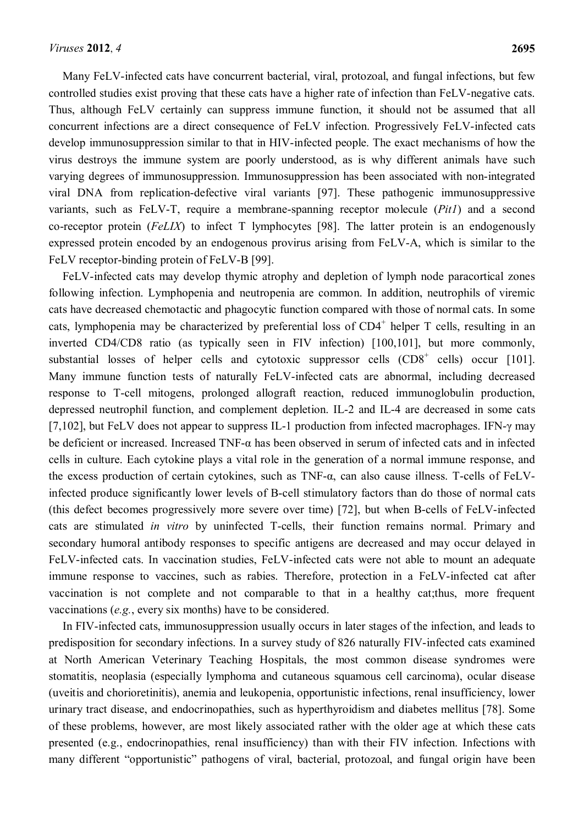Many FeLV-infected cats have concurrent bacterial, viral, protozoal, and fungal infections, but few controlled studies exist proving that these cats have a higher rate of infection than FeLV-negative cats. Thus, although FeLV certainly can suppress immune function, it should not be assumed that all concurrent infections are a direct consequence of FeLV infection. Progressively FeLV-infected cats develop immunosuppression similar to that in HIV-infected people. The exact mechanisms of how the virus destroys the immune system are poorly understood, as is why different animals have such varying degrees of immunosuppression. Immunosuppression has been associated with non-integrated viral DNA from replication-defective viral variants [\[97\]](#page-21-4). These pathogenic immunosuppressive variants, such as FeLV-T, require a membrane-spanning receptor molecule (*Pit1*) and a second co-receptor protein (*FeLIX*) to infect T lymphocytes [\[98\]](#page-21-5). The latter protein is an endogenously expressed protein encoded by an endogenous provirus arising from FeLV-A, which is similar to the FeLV receptor-binding protein of FeLV-B [\[99\]](#page-21-6).

FeLV-infected cats may develop thymic atrophy and depletion of lymph node paracortical zones following infection. Lymphopenia and neutropenia are common. In addition, neutrophils of viremic cats have decreased chemotactic and phagocytic function compared with those of normal cats. In some cats, lymphopenia may be characterized by preferential loss of  $CD4^+$  helper T cells, resulting in an inverted CD4/CD8 ratio (as typically seen in FIV infection) [\[100](#page-21-7)[,101\]](#page-21-8), but more commonly, substantial losses of helper cells and cytotoxic suppressor cells  $(CD8<sup>+</sup>$  cells) occur [\[101\]](#page-21-8). Many immune function tests of naturally FeLV-infected cats are abnormal, including decreased response to T-cell mitogens, prolonged allograft reaction, reduced immunoglobulin production, depressed neutrophil function, and complement depletion. IL-2 and IL-4 are decreased in some cats [\[7](#page-15-6)[,102\]](#page-21-9), but FeLV does not appear to suppress IL-1 production from infected macrophages. IFN- $\gamma$  may be deficient or increased. Increased TNF-α has been observed in serum of infected cats and in infected cells in culture. Each cytokine plays a vital role in the generation of a normal immune response, and the excess production of certain cytokines, such as TNF-α, can also cause illness. T-cells of FeLVinfected produce significantly lower levels of B-cell stimulatory factors than do those of normal cats (this defect becomes progressively more severe over time) [\[72\]](#page-19-4), but when B-cells of FeLV-infected cats are stimulated *in vitro* by uninfected T-cells, their function remains normal. Primary and secondary humoral antibody responses to specific antigens are decreased and may occur delayed in FeLV-infected cats. In vaccination studies, FeLV-infected cats were not able to mount an adequate immune response to vaccines, such as rabies. Therefore, protection in a FeLV-infected cat after vaccination is not complete and not comparable to that in a healthy cat;thus, more frequent vaccinations (*e.g.*, every six months) have to be considered.

In FIV-infected cats, immunosuppression usually occurs in later stages of the infection, and leads to predisposition for secondary infections. In a survey study of 826 naturally FIV-infected cats examined at North American Veterinary Teaching Hospitals, the most common disease syndromes were stomatitis, neoplasia (especially lymphoma and cutaneous squamous cell carcinoma), ocular disease (uveitis and chorioretinitis), anemia and leukopenia, opportunistic infections, renal insufficiency, lower urinary tract disease, and endocrinopathies, such as hyperthyroidism and diabetes mellitus [\[78\]](#page-21-10). Some of these problems, however, are most likely associated rather with the older age at which these cats presented (e.g., endocrinopathies, renal insufficiency) than with their FIV infection. Infections with many different "opportunistic" pathogens of viral, bacterial, protozoal, and fungal origin have been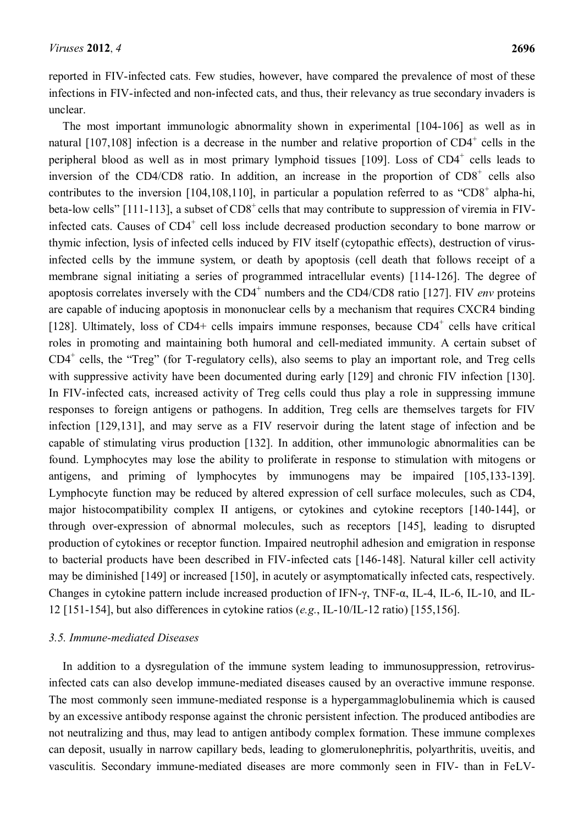reported in FIV-infected cats. Few studies, however, have compared the prevalence of most of these infections in FIV-infected and non-infected cats, and thus, their relevancy as true secondary invaders is unclear.

The most important immunologic abnormality shown in experimental [\[104-106\]](#page-21-11) as well as in natural  $[107,108]$  $[107,108]$  infection is a decrease in the number and relative proportion of  $CD4^+$  cells in the peripheral blood as well as in most primary lymphoid tissues  $[109]$ . Loss of CD4<sup>+</sup> cells leads to inversion of the CD4/CD8 ratio. In addition, an increase in the proportion of  $CD8<sup>+</sup>$  cells also contributes to the inversion [\[104,](#page-21-11)[108](#page-22-1)[,110\]](#page-22-3), in particular a population referred to as "CD8<sup>+</sup> alpha-hi, beta-low cells"  $[111-113]$ , a subset of  $CD8^+$  cells that may contribute to suppression of viremia in FIVinfected cats. Causes of  $CD4^+$  cell loss include decreased production secondary to bone marrow or thymic infection, lysis of infected cells induced by FIV itself (cytopathic effects), destruction of virusinfected cells by the immune system, or death by apoptosis (cell death that follows receipt of a membrane signal initiating a series of programmed intracellular events) [\[114-126\]](#page-22-5). The degree of apoptosis correlates inversely with the CD4<sup>+</sup> numbers and the CD4/CD8 ratio [\[127\]](#page-23-0). FIV *env* proteins are capable of inducing apoptosis in mononuclear cells by a mechanism that requires CXCR4 binding [\[128\]](#page-23-1). Ultimately, loss of CD4+ cells impairs immune responses, because  $CD4^+$  cells have critical roles in promoting and maintaining both humoral and cell-mediated immunity. A certain subset of  $CD4^+$  cells, the "Treg" (for T-regulatory cells), also seems to play an important role, and Treg cells with suppressive activity have been documented during early [\[129\]](#page-23-2) and chronic FIV infection [\[130\]](#page-23-3). In FIV-infected cats, increased activity of Treg cells could thus play a role in suppressing immune responses to foreign antigens or pathogens. In addition, Treg cells are themselves targets for FIV infection [\[129](#page-23-2)[,131\]](#page-23-4), and may serve as a FIV reservoir during the latent stage of infection and be capable of stimulating virus production [\[132\]](#page-23-5). In addition, other immunologic abnormalities can be found. Lymphocytes may lose the ability to proliferate in response to stimulation with mitogens or antigens, and priming of lymphocytes by immunogens may be impaired [\[105](#page-21-12)[,133-139\]](#page-23-6). Lymphocyte function may be reduced by altered expression of cell surface molecules, such as CD4, major histocompatibility complex II antigens, or cytokines and cytokine receptors [\[140-144\]](#page-24-0), or through over-expression of abnormal molecules, such as receptors [\[145\]](#page-24-1), leading to disrupted production of cytokines or receptor function. Impaired neutrophil adhesion and emigration in response to bacterial products have been described in FIV-infected cats [\[146-148\]](#page-24-2). Natural killer cell activity may be diminished [\[149\]](#page-25-0) or increased [\[150\]](#page-25-1), in acutely or asymptomatically infected cats, respectively. Changes in cytokine pattern include increased production of IFN-γ, TNF-α, IL-4, IL-6, IL-10, and IL-12 [\[151-154\]](#page-25-2), but also differences in cytokine ratios (*e.g.*, IL-10/IL-12 ratio) [\[155](#page-25-3)[,156\]](#page-25-4).

# *3.5. Immune-mediated Diseases*

In addition to a dysregulation of the immune system leading to immunosuppression, retrovirusinfected cats can also develop immune-mediated diseases caused by an overactive immune response. The most commonly seen immune-mediated response is a hypergammaglobulinemia which is caused by an excessive antibody response against the chronic persistent infection. The produced antibodies are not neutralizing and thus, may lead to antigen antibody complex formation. These immune complexes can deposit, usually in narrow capillary beds, leading to glomerulonephritis, polyarthritis, uveitis, and vasculitis. Secondary immune-mediated diseases are more commonly seen in FIV- than in FeLV-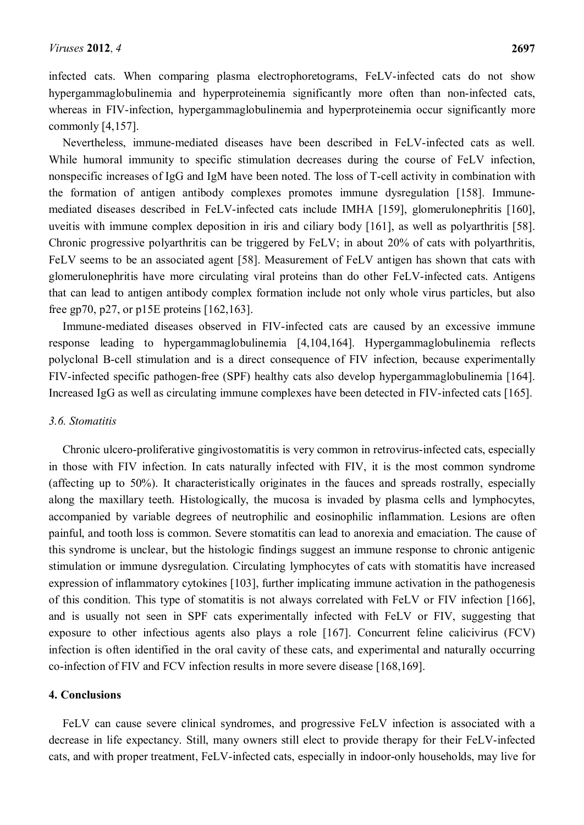infected cats. When comparing plasma electrophoretograms, FeLV-infected cats do not show hypergammaglobulinemia and hyperproteinemia significantly more often than non-infected cats, whereas in FIV-infection, hypergammaglobulinemia and hyperproteinemia occur significantly more commonly [\[4,](#page-15-3)[157\]](#page-25-5).

Nevertheless, immune-mediated diseases have been described in FeLV-infected cats as well. While humoral immunity to specific stimulation decreases during the course of FeLV infection, nonspecific increases of IgG and IgM have been noted. The loss of T-cell activity in combination with the formation of antigen antibody complexes promotes immune dysregulation [\[158\]](#page-25-6). Immunemediated diseases described in FeLV-infected cats include IMHA [\[159\]](#page-25-7), glomerulonephritis [\[160\]](#page-25-8), uveitis with immune complex deposition in iris and ciliary body [\[161\]](#page-25-9), as well as polyarthritis [\[58\]](#page-18-11). Chronic progressive polyarthritis can be triggered by FeLV; in about 20% of cats with polyarthritis, FeLV seems to be an associated agent [\[58\]](#page-18-11). Measurement of FeLV antigen has shown that cats with glomerulonephritis have more circulating viral proteins than do other FeLV-infected cats. Antigens that can lead to antigen antibody complex formation include not only whole virus particles, but also free gp70, p27, or p15E proteins [\[162](#page-26-0)[,163\]](#page-26-1).

Immune-mediated diseases observed in FIV-infected cats are caused by an excessive immune response leading to hypergammaglobulinemia [\[4,](#page-15-3)[104](#page-21-11)[,164\]](#page-26-2). Hypergammaglobulinemia reflects polyclonal B-cell stimulation and is a direct consequence of FIV infection, because experimentally FIV-infected specific pathogen-free (SPF) healthy cats also develop hypergammaglobulinemia [\[164\]](#page-26-2). Increased IgG as well as circulating immune complexes have been detected in FIV-infected cats [\[165\]](#page-26-3).

#### *3.6. Stomatitis*

Chronic ulcero-proliferative gingivostomatitis is very common in retrovirus-infected cats, especially in those with FIV infection. In cats naturally infected with FIV, it is the most common syndrome (affecting up to 50%). It characteristically originates in the fauces and spreads rostrally, especially along the maxillary teeth. Histologically, the mucosa is invaded by plasma cells and lymphocytes, accompanied by variable degrees of neutrophilic and eosinophilic inflammation. Lesions are often painful, and tooth loss is common. Severe stomatitis can lead to anorexia and emaciation. The cause of this syndrome is unclear, but the histologic findings suggest an immune response to chronic antigenic stimulation or immune dysregulation. Circulating lymphocytes of cats with stomatitis have increased expression of inflammatory cytokines [\[103\]](#page-21-10), further implicating immune activation in the pathogenesis of this condition. This type of stomatitis is not always correlated with FeLV or FIV infection [\[166\]](#page-26-4), and is usually not seen in SPF cats experimentally infected with FeLV or FIV, suggesting that exposure to other infectious agents also plays a role [\[167\]](#page-26-5). Concurrent feline calicivirus (FCV) infection is often identified in the oral cavity of these cats, and experimental and naturally occurring co-infection of FIV and FCV infection results in more severe disease [\[168,](#page-26-6)[169\]](#page-26-7).

#### **4. Conclusions**

FeLV can cause severe clinical syndromes, and progressive FeLV infection is associated with a decrease in life expectancy. Still, many owners still elect to provide therapy for their FeLV-infected cats, and with proper treatment, FeLV-infected cats, especially in indoor-only households, may live for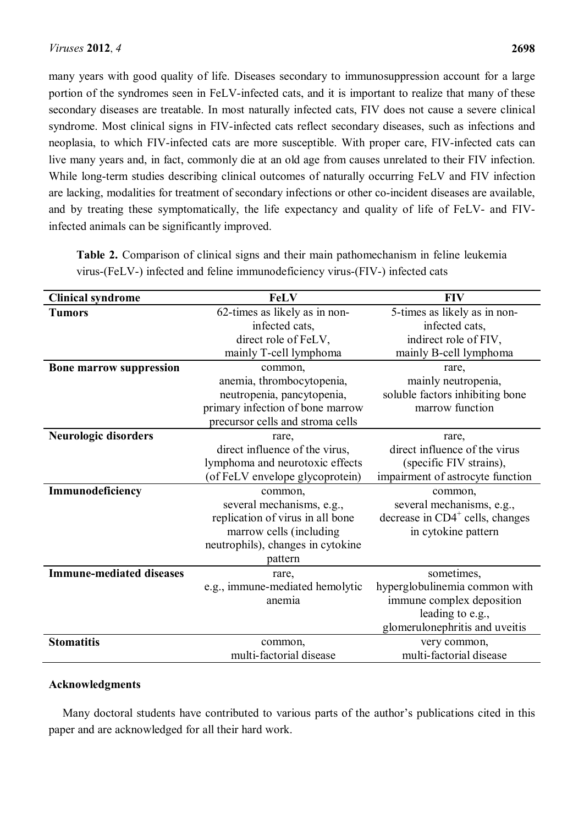many years with good quality of life. Diseases secondary to immunosuppression account for a large portion of the syndromes seen in FeLV-infected cats, and it is important to realize that many of these secondary diseases are treatable. In most naturally infected cats, FIV does not cause a severe clinical syndrome. Most clinical signs in FIV-infected cats reflect secondary diseases, such as infections and neoplasia, to which FIV-infected cats are more susceptible. With proper care, FIV-infected cats can live many years and, in fact, commonly die at an old age from causes unrelated to their FIV infection. While long-term studies describing clinical outcomes of naturally occurring FeLV and FIV infection are lacking, modalities for treatment of secondary infections or other co-incident diseases are available, and by treating these symptomatically, the life expectancy and quality of life of FeLV- and FIVinfected animals can be significantly improved.

**Table 2.** Comparison of clinical signs and their main pathomechanism in feline leukemia virus-(FeLV-) infected and feline immunodeficiency virus-(FIV-) infected cats

| <b>Clinical syndrome</b>        | <b>FeLV</b>                       | <b>FIV</b>                         |  |  |
|---------------------------------|-----------------------------------|------------------------------------|--|--|
| <b>Tumors</b>                   | 62-times as likely as in non-     | 5-times as likely as in non-       |  |  |
|                                 | infected cats,                    | infected cats,                     |  |  |
|                                 | direct role of FeLV,              | indirect role of FIV,              |  |  |
|                                 | mainly T-cell lymphoma            | mainly B-cell lymphoma             |  |  |
| <b>Bone marrow suppression</b>  | common,                           | rare,                              |  |  |
|                                 | anemia, thrombocytopenia,         | mainly neutropenia,                |  |  |
|                                 | neutropenia, pancytopenia,        | soluble factors inhibiting bone    |  |  |
|                                 | primary infection of bone marrow  | marrow function                    |  |  |
|                                 | precursor cells and stroma cells  |                                    |  |  |
| Neurologic disorders            | rare,                             | rare,                              |  |  |
|                                 | direct influence of the virus,    | direct influence of the virus      |  |  |
|                                 | lymphoma and neurotoxic effects   | (specific FIV strains),            |  |  |
|                                 | (of FeLV envelope glycoprotein)   | impairment of astrocyte function   |  |  |
| Immunodeficiency                | common,                           | common,                            |  |  |
|                                 | several mechanisms, e.g.,         | several mechanisms, e.g.,          |  |  |
|                                 | replication of virus in all bone  | decrease in $CD4^+$ cells, changes |  |  |
|                                 | marrow cells (including           | in cytokine pattern                |  |  |
|                                 | neutrophils), changes in cytokine |                                    |  |  |
|                                 | pattern                           |                                    |  |  |
| <b>Immune-mediated diseases</b> | rare,                             | sometimes,                         |  |  |
|                                 | e.g., immune-mediated hemolytic   | hyperglobulinemia common with      |  |  |
|                                 | anemia                            | immune complex deposition          |  |  |
|                                 |                                   | leading to e.g.,                   |  |  |
|                                 |                                   | glomerulonephritis and uveitis     |  |  |
| <b>Stomatitis</b>               | common,                           | very common,                       |  |  |
|                                 | multi-factorial disease           | multi-factorial disease            |  |  |

## **Acknowledgments**

Many doctoral students have contributed to various parts of the author's publications cited in this paper and are acknowledged for all their hard work.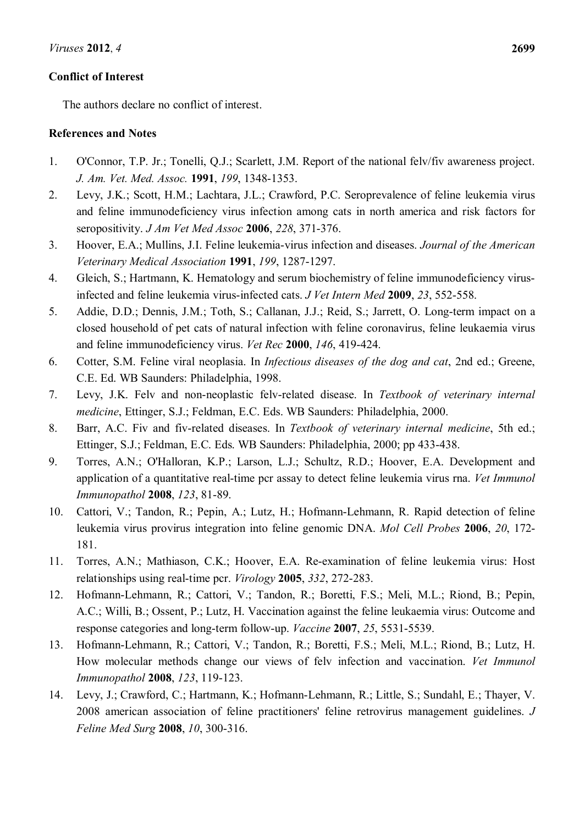# **Conflict of Interest**

The authors declare no conflict of interest.

# **References and Notes**

- <span id="page-15-0"></span>1. O'Connor, T.P. Jr.; Tonelli, Q.J.; Scarlett, J.M. Report of the national felv/fiv awareness project. *J. Am. Vet. Med. Assoc.* **1991**, *199*, 1348-1353.
- <span id="page-15-1"></span>2. Levy, J.K.; Scott, H.M.; Lachtara, J.L.; Crawford, P.C. Seroprevalence of feline leukemia virus and feline immunodeficiency virus infection among cats in north america and risk factors for seropositivity. *J Am Vet Med Assoc* **2006**, *228*, 371-376.
- <span id="page-15-2"></span>3. Hoover, E.A.; Mullins, J.I. Feline leukemia-virus infection and diseases. *Journal of the American Veterinary Medical Association* **1991**, *199*, 1287-1297.
- <span id="page-15-3"></span>4. Gleich, S.; Hartmann, K. Hematology and serum biochemistry of feline immunodeficiency virusinfected and feline leukemia virus-infected cats. *J Vet Intern Med* **2009**, *23*, 552-558.
- <span id="page-15-4"></span>5. Addie, D.D.; Dennis, J.M.; Toth, S.; Callanan, J.J.; Reid, S.; Jarrett, O. Long-term impact on a closed household of pet cats of natural infection with feline coronavirus, feline leukaemia virus and feline immunodeficiency virus. *Vet Rec* **2000**, *146*, 419-424.
- <span id="page-15-5"></span>6. Cotter, S.M. Feline viral neoplasia. In *Infectious diseases of the dog and cat*, 2nd ed.; Greene, C.E. Ed. WB Saunders: Philadelphia, 1998.
- <span id="page-15-6"></span>7. Levy, J.K. Felv and non-neoplastic felv-related disease. In *Textbook of veterinary internal medicine*, Ettinger, S.J.; Feldman, E.C. Eds. WB Saunders: Philadelphia, 2000.
- <span id="page-15-7"></span>8. Barr, A.C. Fiv and fiv-related diseases. In *Textbook of veterinary internal medicine*, 5th ed.; Ettinger, S.J.; Feldman, E.C. Eds. WB Saunders: Philadelphia, 2000; pp 433-438.
- <span id="page-15-8"></span>9. Torres, A.N.; O'Halloran, K.P.; Larson, L.J.; Schultz, R.D.; Hoover, E.A. Development and application of a quantitative real-time pcr assay to detect feline leukemia virus rna. *Vet Immunol Immunopathol* **2008**, *123*, 81-89.
- <span id="page-15-9"></span>10. Cattori, V.; Tandon, R.; Pepin, A.; Lutz, H.; Hofmann-Lehmann, R. Rapid detection of feline leukemia virus provirus integration into feline genomic DNA. *Mol Cell Probes* **2006**, *20*, 172- 181.
- <span id="page-15-10"></span>11. Torres, A.N.; Mathiason, C.K.; Hoover, E.A. Re-examination of feline leukemia virus: Host relationships using real-time pcr. *Virology* **2005**, *332*, 272-283.
- 12. Hofmann-Lehmann, R.; Cattori, V.; Tandon, R.; Boretti, F.S.; Meli, M.L.; Riond, B.; Pepin, A.C.; Willi, B.; Ossent, P.; Lutz, H. Vaccination against the feline leukaemia virus: Outcome and response categories and long-term follow-up. *Vaccine* **2007**, *25*, 5531-5539.
- 13. Hofmann-Lehmann, R.; Cattori, V.; Tandon, R.; Boretti, F.S.; Meli, M.L.; Riond, B.; Lutz, H. How molecular methods change our views of felv infection and vaccination. *Vet Immunol Immunopathol* **2008**, *123*, 119-123.
- <span id="page-15-11"></span>14. Levy, J.; Crawford, C.; Hartmann, K.; Hofmann-Lehmann, R.; Little, S.; Sundahl, E.; Thayer, V. 2008 american association of feline practitioners' feline retrovirus management guidelines. *J Feline Med Surg* **2008**, *10*, 300-316.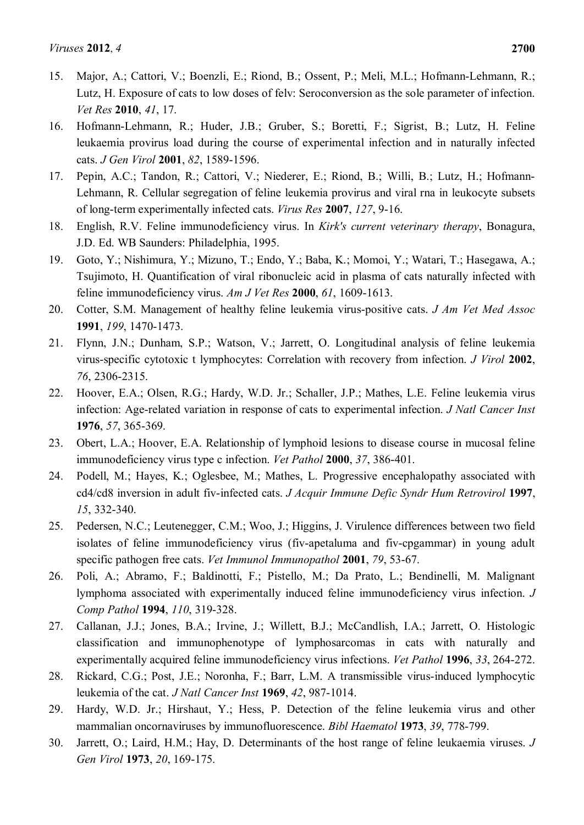- <span id="page-16-0"></span>15. Major, A.; Cattori, V.; Boenzli, E.; Riond, B.; Ossent, P.; Meli, M.L.; Hofmann-Lehmann, R.; Lutz, H. Exposure of cats to low doses of felv: Seroconversion as the sole parameter of infection. *Vet Res* **2010**, *41*, 17.
- <span id="page-16-1"></span>16. Hofmann-Lehmann, R.; Huder, J.B.; Gruber, S.; Boretti, F.; Sigrist, B.; Lutz, H. Feline leukaemia provirus load during the course of experimental infection and in naturally infected cats. *J Gen Virol* **2001**, *82*, 1589-1596.
- <span id="page-16-2"></span>17. Pepin, A.C.; Tandon, R.; Cattori, V.; Niederer, E.; Riond, B.; Willi, B.; Lutz, H.; Hofmann-Lehmann, R. Cellular segregation of feline leukemia provirus and viral rna in leukocyte subsets of long-term experimentally infected cats. *Virus Res* **2007**, *127*, 9-16.
- <span id="page-16-3"></span>18. English, R.V. Feline immunodeficiency virus. In *Kirk's current veterinary therapy*, Bonagura, J.D. Ed. WB Saunders: Philadelphia, 1995.
- <span id="page-16-4"></span>19. Goto, Y.; Nishimura, Y.; Mizuno, T.; Endo, Y.; Baba, K.; Momoi, Y.; Watari, T.; Hasegawa, A.; Tsujimoto, H. Quantification of viral ribonucleic acid in plasma of cats naturally infected with feline immunodeficiency virus. *Am J Vet Res* **2000**, *61*, 1609-1613.
- <span id="page-16-5"></span>20. Cotter, S.M. Management of healthy feline leukemia virus-positive cats. *J Am Vet Med Assoc*  **1991**, *199*, 1470-1473.
- <span id="page-16-6"></span>21. Flynn, J.N.; Dunham, S.P.; Watson, V.; Jarrett, O. Longitudinal analysis of feline leukemia virus-specific cytotoxic t lymphocytes: Correlation with recovery from infection. *J Virol* **2002**, *76*, 2306-2315.
- <span id="page-16-7"></span>22. Hoover, E.A.; Olsen, R.G.; Hardy, W.D. Jr.; Schaller, J.P.; Mathes, L.E. Feline leukemia virus infection: Age-related variation in response of cats to experimental infection. *J Natl Cancer Inst*  **1976**, *57*, 365-369.
- <span id="page-16-8"></span>23. Obert, L.A.; Hoover, E.A. Relationship of lymphoid lesions to disease course in mucosal feline immunodeficiency virus type c infection. *Vet Pathol* **2000**, *37*, 386-401.
- <span id="page-16-9"></span>24. Podell, M.; Hayes, K.; Oglesbee, M.; Mathes, L. Progressive encephalopathy associated with cd4/cd8 inversion in adult fiv-infected cats. *J Acquir Immune Defic Syndr Hum Retrovirol* **1997**, *15*, 332-340.
- <span id="page-16-10"></span>25. Pedersen, N.C.; Leutenegger, C.M.; Woo, J.; Higgins, J. Virulence differences between two field isolates of feline immunodeficiency virus (fiv-apetaluma and fiv-cpgammar) in young adult specific pathogen free cats. *Vet Immunol Immunopathol* **2001**, *79*, 53-67.
- <span id="page-16-11"></span>26. Poli, A.; Abramo, F.; Baldinotti, F.; Pistello, M.; Da Prato, L.; Bendinelli, M. Malignant lymphoma associated with experimentally induced feline immunodeficiency virus infection. *J Comp Pathol* **1994**, *110*, 319-328.
- <span id="page-16-12"></span>27. Callanan, J.J.; Jones, B.A.; Irvine, J.; Willett, B.J.; McCandlish, I.A.; Jarrett, O. Histologic classification and immunophenotype of lymphosarcomas in cats with naturally and experimentally acquired feline immunodeficiency virus infections. *Vet Pathol* **1996**, *33*, 264-272.
- <span id="page-16-13"></span>28. Rickard, C.G.; Post, J.E.; Noronha, F.; Barr, L.M. A transmissible virus-induced lymphocytic leukemia of the cat. *J Natl Cancer Inst* **1969**, *42*, 987-1014.
- <span id="page-16-14"></span>29. Hardy, W.D. Jr.; Hirshaut, Y.; Hess, P. Detection of the feline leukemia virus and other mammalian oncornaviruses by immunofluorescence. *Bibl Haematol* **1973**, *39*, 778-799.
- 30. Jarrett, O.; Laird, H.M.; Hay, D. Determinants of the host range of feline leukaemia viruses. *J Gen Virol* **1973**, *20*, 169-175.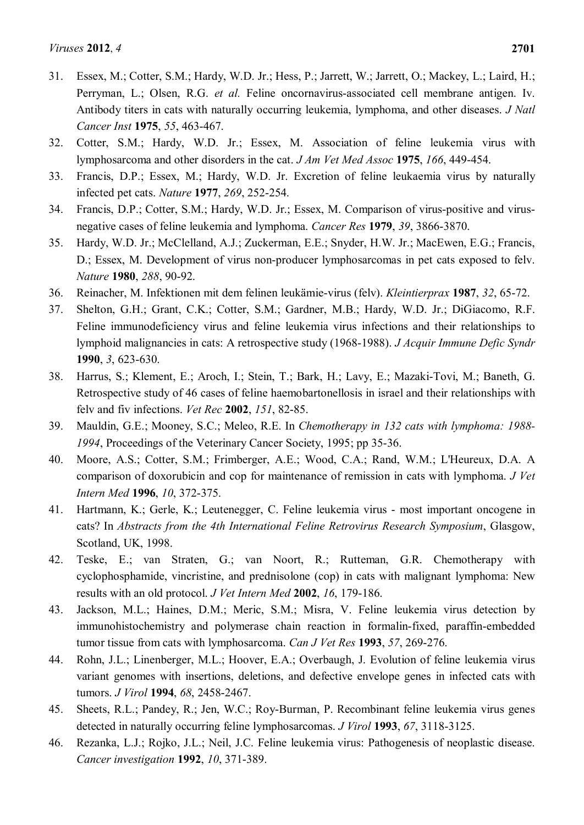- <span id="page-17-0"></span>31. Essex, M.; Cotter, S.M.; Hardy, W.D. Jr.; Hess, P.; Jarrett, W.; Jarrett, O.; Mackey, L.; Laird, H.; Perryman, L.; Olsen, R.G. *et al.* Feline oncornavirus-associated cell membrane antigen. Iv. Antibody titers in cats with naturally occurring leukemia, lymphoma, and other diseases. *J Natl Cancer Inst* **1975**, *55*, 463-467.
- <span id="page-17-1"></span>32. Cotter, S.M.; Hardy, W.D. Jr.; Essex, M. Association of feline leukemia virus with lymphosarcoma and other disorders in the cat. *J Am Vet Med Assoc* **1975**, *166*, 449-454.
- 33. Francis, D.P.; Essex, M.; Hardy, W.D. Jr. Excretion of feline leukaemia virus by naturally infected pet cats. *Nature* **1977**, *269*, 252-254.
- 34. Francis, D.P.; Cotter, S.M.; Hardy, W.D. Jr.; Essex, M. Comparison of virus-positive and virusnegative cases of feline leukemia and lymphoma. *Cancer Res* **1979**, *39*, 3866-3870.
- 35. Hardy, W.D. Jr.; McClelland, A.J.; Zuckerman, E.E.; Snyder, H.W. Jr.; MacEwen, E.G.; Francis, D.; Essex, M. Development of virus non-producer lymphosarcomas in pet cats exposed to felv. *Nature* **1980**, *288*, 90-92.
- 36. Reinacher, M. Infektionen mit dem felinen leukämie-virus (felv). *Kleintierprax* **1987**, *32*, 65-72.
- 37. Shelton, G.H.; Grant, C.K.; Cotter, S.M.; Gardner, M.B.; Hardy, W.D. Jr.; DiGiacomo, R.F. Feline immunodeficiency virus and feline leukemia virus infections and their relationships to lymphoid malignancies in cats: A retrospective study (1968-1988). *J Acquir Immune Defic Syndr*  **1990**, *3*, 623-630.
- 38. Harrus, S.; Klement, E.; Aroch, I.; Stein, T.; Bark, H.; Lavy, E.; Mazaki-Tovi, M.; Baneth, G. Retrospective study of 46 cases of feline haemobartonellosis in israel and their relationships with felv and fiv infections. *Vet Rec* **2002**, *151*, 82-85.
- <span id="page-17-2"></span>39. Mauldin, G.E.; Mooney, S.C.; Meleo, R.E. In *Chemotherapy in 132 cats with lymphoma: 1988- 1994*, Proceedings of the Veterinary Cancer Society, 1995; pp 35-36.
- 40. Moore, A.S.; Cotter, S.M.; Frimberger, A.E.; Wood, C.A.; Rand, W.M.; L'Heureux, D.A. A comparison of doxorubicin and cop for maintenance of remission in cats with lymphoma. *J Vet Intern Med* **1996**, *10*, 372-375.
- <span id="page-17-3"></span>41. Hartmann, K.; Gerle, K.; Leutenegger, C. Feline leukemia virus - most important oncogene in cats? In *Abstracts from the 4th International Feline Retrovirus Research Symposium*, Glasgow, Scotland, UK, 1998.
- <span id="page-17-4"></span>42. Teske, E.; van Straten, G.; van Noort, R.; Rutteman, G.R. Chemotherapy with cyclophosphamide, vincristine, and prednisolone (cop) in cats with malignant lymphoma: New results with an old protocol. *J Vet Intern Med* **2002**, *16*, 179-186.
- <span id="page-17-5"></span>43. Jackson, M.L.; Haines, D.M.; Meric, S.M.; Misra, V. Feline leukemia virus detection by immunohistochemistry and polymerase chain reaction in formalin-fixed, paraffin-embedded tumor tissue from cats with lymphosarcoma. *Can J Vet Res* **1993**, *57*, 269-276.
- <span id="page-17-6"></span>44. Rohn, J.L.; Linenberger, M.L.; Hoover, E.A.; Overbaugh, J. Evolution of feline leukemia virus variant genomes with insertions, deletions, and defective envelope genes in infected cats with tumors. *J Virol* **1994**, *68*, 2458-2467.
- <span id="page-17-7"></span>45. Sheets, R.L.; Pandey, R.; Jen, W.C.; Roy-Burman, P. Recombinant feline leukemia virus genes detected in naturally occurring feline lymphosarcomas. *J Virol* **1993**, *67*, 3118-3125.
- 46. Rezanka, L.J.; Rojko, J.L.; Neil, J.C. Feline leukemia virus: Pathogenesis of neoplastic disease. *Cancer investigation* **1992**, *10*, 371-389.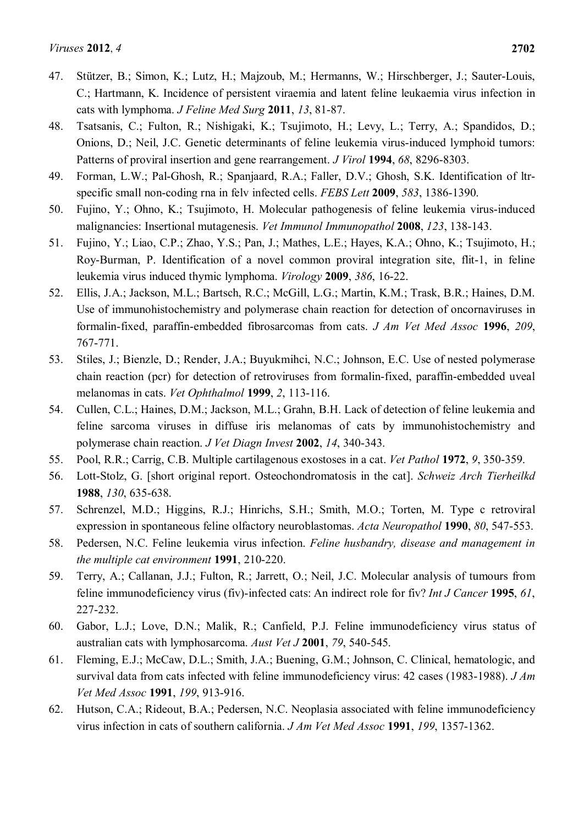- <span id="page-18-0"></span>47. Stützer, B.; Simon, K.; Lutz, H.; Majzoub, M.; Hermanns, W.; Hirschberger, J.; Sauter-Louis, C.; Hartmann, K. Incidence of persistent viraemia and latent feline leukaemia virus infection in cats with lymphoma. *J Feline Med Surg* **2011**, *13*, 81-87.
- <span id="page-18-1"></span>48. Tsatsanis, C.; Fulton, R.; Nishigaki, K.; Tsujimoto, H.; Levy, L.; Terry, A.; Spandidos, D.; Onions, D.; Neil, J.C. Genetic determinants of feline leukemia virus-induced lymphoid tumors: Patterns of proviral insertion and gene rearrangement. *J Virol* **1994**, *68*, 8296-8303.
- <span id="page-18-2"></span>49. Forman, L.W.; Pal-Ghosh, R.; Spanjaard, R.A.; Faller, D.V.; Ghosh, S.K. Identification of ltrspecific small non-coding rna in felv infected cells. *FEBS Lett* **2009**, *583*, 1386-1390.
- <span id="page-18-3"></span>50. Fujino, Y.; Ohno, K.; Tsujimoto, H. Molecular pathogenesis of feline leukemia virus-induced malignancies: Insertional mutagenesis. *Vet Immunol Immunopathol* **2008**, *123*, 138-143.
- <span id="page-18-4"></span>51. Fujino, Y.; Liao, C.P.; Zhao, Y.S.; Pan, J.; Mathes, L.E.; Hayes, K.A.; Ohno, K.; Tsujimoto, H.; Roy-Burman, P. Identification of a novel common proviral integration site, flit-1, in feline leukemia virus induced thymic lymphoma. *Virology* **2009**, *386*, 16-22.
- <span id="page-18-5"></span>52. Ellis, J.A.; Jackson, M.L.; Bartsch, R.C.; McGill, L.G.; Martin, K.M.; Trask, B.R.; Haines, D.M. Use of immunohistochemistry and polymerase chain reaction for detection of oncornaviruses in formalin-fixed, paraffin-embedded fibrosarcomas from cats. *J Am Vet Med Assoc* **1996**, *209*, 767-771.
- <span id="page-18-6"></span>53. Stiles, J.; Bienzle, D.; Render, J.A.; Buyukmihci, N.C.; Johnson, E.C. Use of nested polymerase chain reaction (pcr) for detection of retroviruses from formalin-fixed, paraffin-embedded uveal melanomas in cats. *Vet Ophthalmol* **1999**, *2*, 113-116.
- <span id="page-18-7"></span>54. Cullen, C.L.; Haines, D.M.; Jackson, M.L.; Grahn, B.H. Lack of detection of feline leukemia and feline sarcoma viruses in diffuse iris melanomas of cats by immunohistochemistry and polymerase chain reaction. *J Vet Diagn Invest* **2002**, *14*, 340-343.
- <span id="page-18-8"></span>55. Pool, R.R.; Carrig, C.B. Multiple cartilagenous exostoses in a cat. *Vet Pathol* **1972**, *9*, 350-359.
- <span id="page-18-9"></span>56. Lott-Stolz, G. [short original report. Osteochondromatosis in the cat]. *Schweiz Arch Tierheilkd*  **1988**, *130*, 635-638.
- <span id="page-18-10"></span>57. Schrenzel, M.D.; Higgins, R.J.; Hinrichs, S.H.; Smith, M.O.; Torten, M. Type c retroviral expression in spontaneous feline olfactory neuroblastomas. *Acta Neuropathol* **1990**, *80*, 547-553.
- <span id="page-18-11"></span>58. Pedersen, N.C. Feline leukemia virus infection. *Feline husbandry, disease and management in the multiple cat environment* **1991**, 210-220.
- <span id="page-18-12"></span>59. Terry, A.; Callanan, J.J.; Fulton, R.; Jarrett, O.; Neil, J.C. Molecular analysis of tumours from feline immunodeficiency virus (fiv)-infected cats: An indirect role for fiv? *Int J Cancer* **1995**, *61*, 227-232.
- <span id="page-18-13"></span>60. Gabor, L.J.; Love, D.N.; Malik, R.; Canfield, P.J. Feline immunodeficiency virus status of australian cats with lymphosarcoma. *Aust Vet J* **2001**, *79*, 540-545.
- <span id="page-18-14"></span>61. Fleming, E.J.; McCaw, D.L.; Smith, J.A.; Buening, G.M.; Johnson, C. Clinical, hematologic, and survival data from cats infected with feline immunodeficiency virus: 42 cases (1983-1988). *J Am Vet Med Assoc* **1991**, *199*, 913-916.
- 62. Hutson, C.A.; Rideout, B.A.; Pedersen, N.C. Neoplasia associated with feline immunodeficiency virus infection in cats of southern california. *J Am Vet Med Assoc* **1991**, *199*, 1357-1362.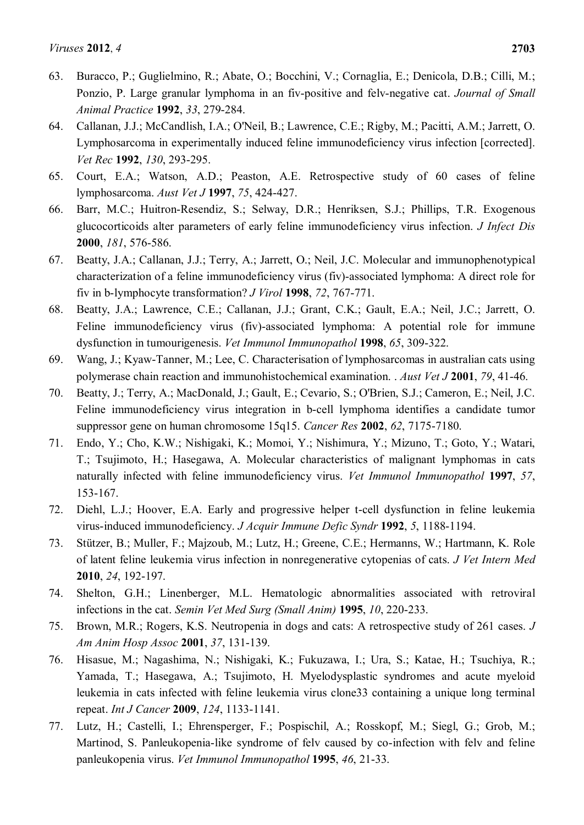- 63. Buracco, P.; Guglielmino, R.; Abate, O.; Bocchini, V.; Cornaglia, E.; Denicola, D.B.; Cilli, M.; Ponzio, P. Large granular lymphoma in an fiv-positive and felv-negative cat. *Journal of Small Animal Practice* **1992**, *33*, 279-284.
- 64. Callanan, J.J.; McCandlish, I.A.; O'Neil, B.; Lawrence, C.E.; Rigby, M.; Pacitti, A.M.; Jarrett, O. Lymphosarcoma in experimentally induced feline immunodeficiency virus infection [corrected]. *Vet Rec* **1992**, *130*, 293-295.
- 65. Court, E.A.; Watson, A.D.; Peaston, A.E. Retrospective study of 60 cases of feline lymphosarcoma. *Aust Vet J* **1997**, *75*, 424-427.
- <span id="page-19-10"></span>66. Barr, M.C.; Huitron-Resendiz, S.; Selway, D.R.; Henriksen, S.J.; Phillips, T.R. Exogenous glucocorticoids alter parameters of early feline immunodeficiency virus infection. *J Infect Dis*  **2000**, *181*, 576-586.
- <span id="page-19-0"></span>67. Beatty, J.A.; Callanan, J.J.; Terry, A.; Jarrett, O.; Neil, J.C. Molecular and immunophenotypical characterization of a feline immunodeficiency virus (fiv)-associated lymphoma: A direct role for fiv in b-lymphocyte transformation? *J Virol* **1998**, *72*, 767-771.
- <span id="page-19-1"></span>68. Beatty, J.A.; Lawrence, C.E.; Callanan, J.J.; Grant, C.K.; Gault, E.A.; Neil, J.C.; Jarrett, O. Feline immunodeficiency virus (fiv)-associated lymphoma: A potential role for immune dysfunction in tumourigenesis. *Vet Immunol Immunopathol* **1998**, *65*, 309-322.
- 69. Wang, J.; Kyaw-Tanner, M.; Lee, C. Characterisation of lymphosarcomas in australian cats using polymerase chain reaction and immunohistochemical examination. . *Aust Vet J* **2001**, *79*, 41-46.
- <span id="page-19-3"></span>70. Beatty, J.; Terry, A.; MacDonald, J.; Gault, E.; Cevario, S.; O'Brien, S.J.; Cameron, E.; Neil, J.C. Feline immunodeficiency virus integration in b-cell lymphoma identifies a candidate tumor suppressor gene on human chromosome 15q15. *Cancer Res* **2002**, *62*, 7175-7180.
- <span id="page-19-2"></span>71. Endo, Y.; Cho, K.W.; Nishigaki, K.; Momoi, Y.; Nishimura, Y.; Mizuno, T.; Goto, Y.; Watari, T.; Tsujimoto, H.; Hasegawa, A. Molecular characteristics of malignant lymphomas in cats naturally infected with feline immunodeficiency virus. *Vet Immunol Immunopathol* **1997**, *57*, 153-167.
- <span id="page-19-4"></span>72. Diehl, L.J.; Hoover, E.A. Early and progressive helper t-cell dysfunction in feline leukemia virus-induced immunodeficiency. *J Acquir Immune Defic Syndr* **1992**, *5*, 1188-1194.
- <span id="page-19-5"></span>73. Stützer, B.; Muller, F.; Majzoub, M.; Lutz, H.; Greene, C.E.; Hermanns, W.; Hartmann, K. Role of latent feline leukemia virus infection in nonregenerative cytopenias of cats. *J Vet Intern Med*  **2010**, *24*, 192-197.
- <span id="page-19-6"></span>74. Shelton, G.H.; Linenberger, M.L. Hematologic abnormalities associated with retroviral infections in the cat. *Semin Vet Med Surg (Small Anim)* **1995**, *10*, 220-233.
- <span id="page-19-7"></span>75. Brown, M.R.; Rogers, K.S. Neutropenia in dogs and cats: A retrospective study of 261 cases. *J Am Anim Hosp Assoc* **2001**, *37*, 131-139.
- <span id="page-19-8"></span>76. Hisasue, M.; Nagashima, N.; Nishigaki, K.; Fukuzawa, I.; Ura, S.; Katae, H.; Tsuchiya, R.; Yamada, T.; Hasegawa, A.; Tsujimoto, H. Myelodysplastic syndromes and acute myeloid leukemia in cats infected with feline leukemia virus clone33 containing a unique long terminal repeat. *Int J Cancer* **2009**, *124*, 1133-1141.
- <span id="page-19-9"></span>77. Lutz, H.; Castelli, I.; Ehrensperger, F.; Pospischil, A.; Rosskopf, M.; Siegl, G.; Grob, M.; Martinod, S. Panleukopenia-like syndrome of felv caused by co-infection with felv and feline panleukopenia virus. *Vet Immunol Immunopathol* **1995**, *46*, 21-33.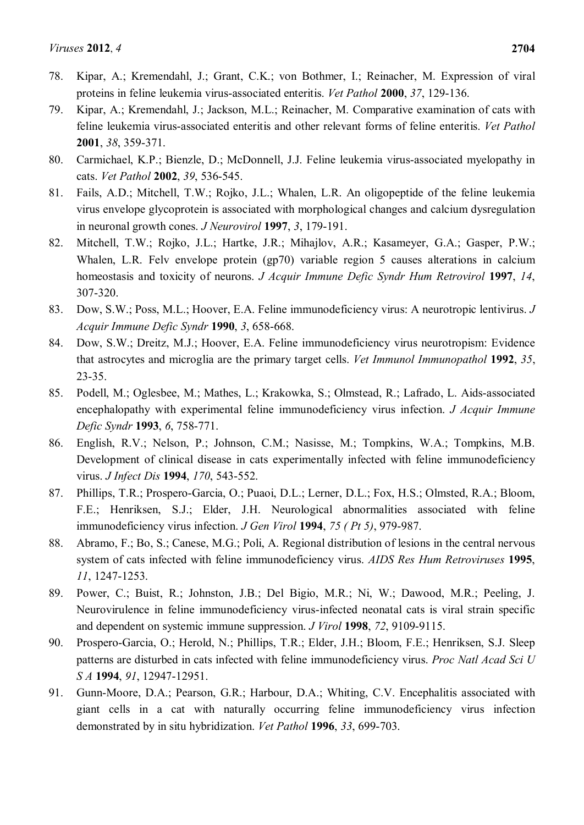- <span id="page-20-0"></span>78. Kipar, A.; Kremendahl, J.; Grant, C.K.; von Bothmer, I.; Reinacher, M. Expression of viral proteins in feline leukemia virus-associated enteritis. *Vet Pathol* **2000**, *37*, 129-136.
- <span id="page-20-1"></span>79. Kipar, A.; Kremendahl, J.; Jackson, M.L.; Reinacher, M. Comparative examination of cats with feline leukemia virus-associated enteritis and other relevant forms of feline enteritis. *Vet Pathol*  **2001**, *38*, 359-371.
- <span id="page-20-2"></span>80. Carmichael, K.P.; Bienzle, D.; McDonnell, J.J. Feline leukemia virus-associated myelopathy in cats. *Vet Pathol* **2002**, *39*, 536-545.
- <span id="page-20-3"></span>81. Fails, A.D.; Mitchell, T.W.; Rojko, J.L.; Whalen, L.R. An oligopeptide of the feline leukemia virus envelope glycoprotein is associated with morphological changes and calcium dysregulation in neuronal growth cones. *J Neurovirol* **1997**, *3*, 179-191.
- <span id="page-20-4"></span>82. Mitchell, T.W.; Rojko, J.L.; Hartke, J.R.; Mihajlov, A.R.; Kasameyer, G.A.; Gasper, P.W.; Whalen, L.R. Felv envelope protein (gp70) variable region 5 causes alterations in calcium homeostasis and toxicity of neurons. *J Acquir Immune Defic Syndr Hum Retrovirol* **1997**, *14*, 307-320.
- <span id="page-20-5"></span>83. Dow, S.W.; Poss, M.L.; Hoover, E.A. Feline immunodeficiency virus: A neurotropic lentivirus. *J Acquir Immune Defic Syndr* **1990**, *3*, 658-668.
- 84. Dow, S.W.; Dreitz, M.J.; Hoover, E.A. Feline immunodeficiency virus neurotropism: Evidence that astrocytes and microglia are the primary target cells. *Vet Immunol Immunopathol* **1992**, *35*, 23-35.
- 85. Podell, M.; Oglesbee, M.; Mathes, L.; Krakowka, S.; Olmstead, R.; Lafrado, L. Aids-associated encephalopathy with experimental feline immunodeficiency virus infection. *J Acquir Immune Defic Syndr* **1993**, *6*, 758-771.
- 86. English, R.V.; Nelson, P.; Johnson, C.M.; Nasisse, M.; Tompkins, W.A.; Tompkins, M.B. Development of clinical disease in cats experimentally infected with feline immunodeficiency virus. *J Infect Dis* **1994**, *170*, 543-552.
- 87. Phillips, T.R.; Prospero-Garcia, O.; Puaoi, D.L.; Lerner, D.L.; Fox, H.S.; Olmsted, R.A.; Bloom, F.E.; Henriksen, S.J.; Elder, J.H. Neurological abnormalities associated with feline immunodeficiency virus infection. *J Gen Virol* **1994**, *75 ( Pt 5)*, 979-987.
- 88. Abramo, F.; Bo, S.; Canese, M.G.; Poli, A. Regional distribution of lesions in the central nervous system of cats infected with feline immunodeficiency virus. *AIDS Res Hum Retroviruses* **1995**, *11*, 1247-1253.
- <span id="page-20-6"></span>89. Power, C.; Buist, R.; Johnston, J.B.; Del Bigio, M.R.; Ni, W.; Dawood, M.R.; Peeling, J. Neurovirulence in feline immunodeficiency virus-infected neonatal cats is viral strain specific and dependent on systemic immune suppression. *J Virol* **1998**, *72*, 9109-9115.
- <span id="page-20-7"></span>90. Prospero-Garcia, O.; Herold, N.; Phillips, T.R.; Elder, J.H.; Bloom, F.E.; Henriksen, S.J. Sleep patterns are disturbed in cats infected with feline immunodeficiency virus. *Proc Natl Acad Sci U S A* **1994**, *91*, 12947-12951.
- 91. Gunn-Moore, D.A.; Pearson, G.R.; Harbour, D.A.; Whiting, C.V. Encephalitis associated with giant cells in a cat with naturally occurring feline immunodeficiency virus infection demonstrated by in situ hybridization. *Vet Pathol* **1996**, *33*, 699-703.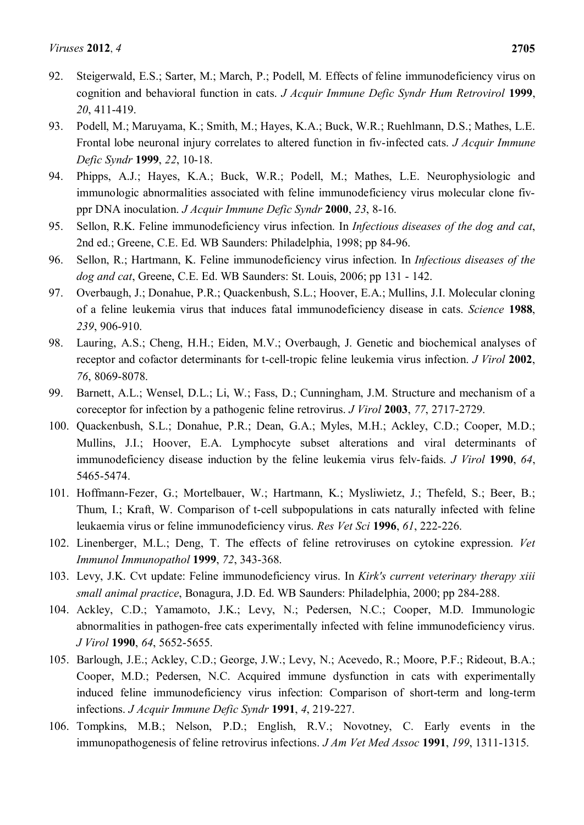- 92. Steigerwald, E.S.; Sarter, M.; March, P.; Podell, M. Effects of feline immunodeficiency virus on cognition and behavioral function in cats. *J Acquir Immune Defic Syndr Hum Retrovirol* **1999**, *20*, 411-419.
- <span id="page-21-0"></span>93. Podell, M.; Maruyama, K.; Smith, M.; Hayes, K.A.; Buck, W.R.; Ruehlmann, D.S.; Mathes, L.E. Frontal lobe neuronal injury correlates to altered function in fiv-infected cats. *J Acquir Immune Defic Syndr* **1999**, *22*, 10-18.
- <span id="page-21-1"></span>94. Phipps, A.J.; Hayes, K.A.; Buck, W.R.; Podell, M.; Mathes, L.E. Neurophysiologic and immunologic abnormalities associated with feline immunodeficiency virus molecular clone fivppr DNA inoculation. *J Acquir Immune Defic Syndr* **2000**, *23*, 8-16.
- <span id="page-21-2"></span>95. Sellon, R.K. Feline immunodeficiency virus infection. In *Infectious diseases of the dog and cat*, 2nd ed.; Greene, C.E. Ed. WB Saunders: Philadelphia, 1998; pp 84-96.
- <span id="page-21-3"></span>96. Sellon, R.; Hartmann, K. Feline immunodeficiency virus infection. In *Infectious diseases of the dog and cat*, Greene, C.E. Ed. WB Saunders: St. Louis, 2006; pp 131 - 142.
- <span id="page-21-4"></span>97. Overbaugh, J.; Donahue, P.R.; Quackenbush, S.L.; Hoover, E.A.; Mullins, J.I. Molecular cloning of a feline leukemia virus that induces fatal immunodeficiency disease in cats. *Science* **1988**, *239*, 906-910.
- <span id="page-21-5"></span>98. Lauring, A.S.; Cheng, H.H.; Eiden, M.V.; Overbaugh, J. Genetic and biochemical analyses of receptor and cofactor determinants for t-cell-tropic feline leukemia virus infection. *J Virol* **2002**, *76*, 8069-8078.
- <span id="page-21-6"></span>99. Barnett, A.L.; Wensel, D.L.; Li, W.; Fass, D.; Cunningham, J.M. Structure and mechanism of a coreceptor for infection by a pathogenic feline retrovirus. *J Virol* **2003**, *77*, 2717-2729.
- <span id="page-21-7"></span>100. Quackenbush, S.L.; Donahue, P.R.; Dean, G.A.; Myles, M.H.; Ackley, C.D.; Cooper, M.D.; Mullins, J.I.; Hoover, E.A. Lymphocyte subset alterations and viral determinants of immunodeficiency disease induction by the feline leukemia virus felv-faids. *J Virol* **1990**, *64*, 5465-5474.
- <span id="page-21-8"></span>101. Hoffmann-Fezer, G.; Mortelbauer, W.; Hartmann, K.; Mysliwietz, J.; Thefeld, S.; Beer, B.; Thum, I.; Kraft, W. Comparison of t-cell subpopulations in cats naturally infected with feline leukaemia virus or feline immunodeficiency virus. *Res Vet Sci* **1996**, *61*, 222-226.
- <span id="page-21-9"></span>102. Linenberger, M.L.; Deng, T. The effects of feline retroviruses on cytokine expression. *Vet Immunol Immunopathol* **1999**, *72*, 343-368.
- <span id="page-21-10"></span>103. Levy, J.K. Cvt update: Feline immunodeficiency virus. In *Kirk's current veterinary therapy xiii small animal practice*, Bonagura, J.D. Ed. WB Saunders: Philadelphia, 2000; pp 284-288.
- <span id="page-21-11"></span>104. Ackley, C.D.; Yamamoto, J.K.; Levy, N.; Pedersen, N.C.; Cooper, M.D. Immunologic abnormalities in pathogen-free cats experimentally infected with feline immunodeficiency virus. *J Virol* **1990**, *64*, 5652-5655.
- <span id="page-21-12"></span>105. Barlough, J.E.; Ackley, C.D.; George, J.W.; Levy, N.; Acevedo, R.; Moore, P.F.; Rideout, B.A.; Cooper, M.D.; Pedersen, N.C. Acquired immune dysfunction in cats with experimentally induced feline immunodeficiency virus infection: Comparison of short-term and long-term infections. *J Acquir Immune Defic Syndr* **1991**, *4*, 219-227.
- 106. Tompkins, M.B.; Nelson, P.D.; English, R.V.; Novotney, C. Early events in the immunopathogenesis of feline retrovirus infections. *J Am Vet Med Assoc* **1991**, *199*, 1311-1315.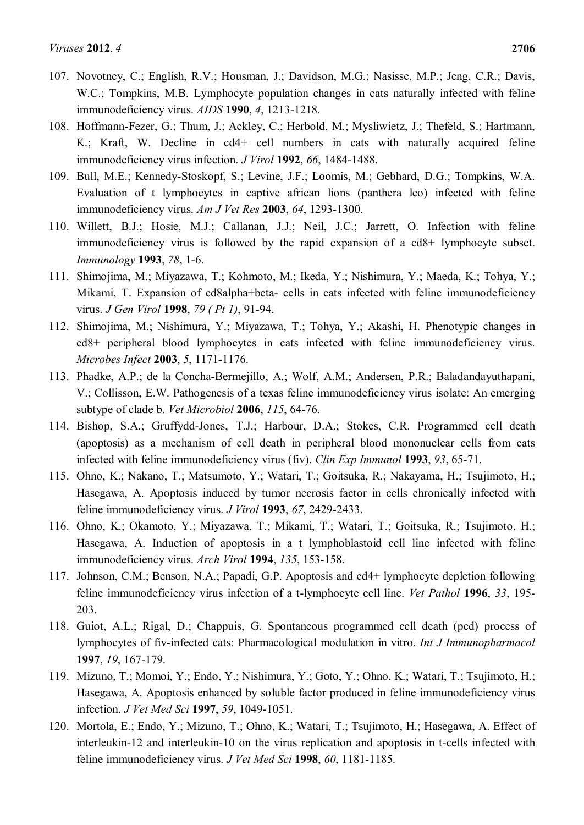- <span id="page-22-0"></span>107. Novotney, C.; English, R.V.; Housman, J.; Davidson, M.G.; Nasisse, M.P.; Jeng, C.R.; Davis, W.C.; Tompkins, M.B. Lymphocyte population changes in cats naturally infected with feline immunodeficiency virus. *AIDS* **1990**, *4*, 1213-1218.
- <span id="page-22-1"></span>108. Hoffmann-Fezer, G.; Thum, J.; Ackley, C.; Herbold, M.; Mysliwietz, J.; Thefeld, S.; Hartmann, K.; Kraft, W. Decline in cd4+ cell numbers in cats with naturally acquired feline immunodeficiency virus infection. *J Virol* **1992**, *66*, 1484-1488.
- <span id="page-22-2"></span>109. Bull, M.E.; Kennedy-Stoskopf, S.; Levine, J.F.; Loomis, M.; Gebhard, D.G.; Tompkins, W.A. Evaluation of t lymphocytes in captive african lions (panthera leo) infected with feline immunodeficiency virus. *Am J Vet Res* **2003**, *64*, 1293-1300.
- <span id="page-22-3"></span>110. Willett, B.J.; Hosie, M.J.; Callanan, J.J.; Neil, J.C.; Jarrett, O. Infection with feline immunodeficiency virus is followed by the rapid expansion of a cd8+ lymphocyte subset. *Immunology* **1993**, *78*, 1-6.
- <span id="page-22-4"></span>111. Shimojima, M.; Miyazawa, T.; Kohmoto, M.; Ikeda, Y.; Nishimura, Y.; Maeda, K.; Tohya, Y.; Mikami, T. Expansion of cd8alpha+beta- cells in cats infected with feline immunodeficiency virus. *J Gen Virol* **1998**, *79 ( Pt 1)*, 91-94.
- 112. Shimojima, M.; Nishimura, Y.; Miyazawa, T.; Tohya, Y.; Akashi, H. Phenotypic changes in cd8+ peripheral blood lymphocytes in cats infected with feline immunodeficiency virus. *Microbes Infect* **2003**, *5*, 1171-1176.
- 113. Phadke, A.P.; de la Concha-Bermejillo, A.; Wolf, A.M.; Andersen, P.R.; Baladandayuthapani, V.; Collisson, E.W. Pathogenesis of a texas feline immunodeficiency virus isolate: An emerging subtype of clade b. *Vet Microbiol* **2006**, *115*, 64-76.
- <span id="page-22-5"></span>114. Bishop, S.A.; Gruffydd-Jones, T.J.; Harbour, D.A.; Stokes, C.R. Programmed cell death (apoptosis) as a mechanism of cell death in peripheral blood mononuclear cells from cats infected with feline immunodeficiency virus (fiv). *Clin Exp Immunol* **1993**, *93*, 65-71.
- 115. Ohno, K.; Nakano, T.; Matsumoto, Y.; Watari, T.; Goitsuka, R.; Nakayama, H.; Tsujimoto, H.; Hasegawa, A. Apoptosis induced by tumor necrosis factor in cells chronically infected with feline immunodeficiency virus. *J Virol* **1993**, *67*, 2429-2433.
- 116. Ohno, K.; Okamoto, Y.; Miyazawa, T.; Mikami, T.; Watari, T.; Goitsuka, R.; Tsujimoto, H.; Hasegawa, A. Induction of apoptosis in a t lymphoblastoid cell line infected with feline immunodeficiency virus. *Arch Virol* **1994**, *135*, 153-158.
- 117. Johnson, C.M.; Benson, N.A.; Papadi, G.P. Apoptosis and cd4+ lymphocyte depletion following feline immunodeficiency virus infection of a t-lymphocyte cell line. *Vet Pathol* **1996**, *33*, 195- 203.
- 118. Guiot, A.L.; Rigal, D.; Chappuis, G. Spontaneous programmed cell death (pcd) process of lymphocytes of fiv-infected cats: Pharmacological modulation in vitro. *Int J Immunopharmacol*  **1997**, *19*, 167-179.
- 119. Mizuno, T.; Momoi, Y.; Endo, Y.; Nishimura, Y.; Goto, Y.; Ohno, K.; Watari, T.; Tsujimoto, H.; Hasegawa, A. Apoptosis enhanced by soluble factor produced in feline immunodeficiency virus infection. *J Vet Med Sci* **1997**, *59*, 1049-1051.
- 120. Mortola, E.; Endo, Y.; Mizuno, T.; Ohno, K.; Watari, T.; Tsujimoto, H.; Hasegawa, A. Effect of interleukin-12 and interleukin-10 on the virus replication and apoptosis in t-cells infected with feline immunodeficiency virus. *J Vet Med Sci* **1998**, *60*, 1181-1185.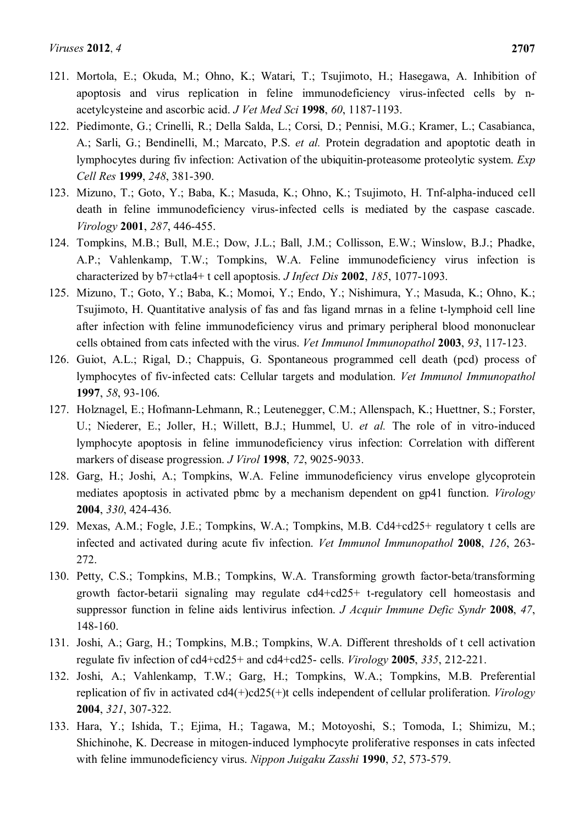- 121. Mortola, E.; Okuda, M.; Ohno, K.; Watari, T.; Tsujimoto, H.; Hasegawa, A. Inhibition of apoptosis and virus replication in feline immunodeficiency virus-infected cells by nacetylcysteine and ascorbic acid. *J Vet Med Sci* **1998**, *60*, 1187-1193.
- 122. Piedimonte, G.; Crinelli, R.; Della Salda, L.; Corsi, D.; Pennisi, M.G.; Kramer, L.; Casabianca, A.; Sarli, G.; Bendinelli, M.; Marcato, P.S. *et al.* Protein degradation and apoptotic death in lymphocytes during fiv infection: Activation of the ubiquitin-proteasome proteolytic system. *Exp Cell Res* **1999**, *248*, 381-390.
- 123. Mizuno, T.; Goto, Y.; Baba, K.; Masuda, K.; Ohno, K.; Tsujimoto, H. Tnf-alpha-induced cell death in feline immunodeficiency virus-infected cells is mediated by the caspase cascade. *Virology* **2001**, *287*, 446-455.
- 124. Tompkins, M.B.; Bull, M.E.; Dow, J.L.; Ball, J.M.; Collisson, E.W.; Winslow, B.J.; Phadke, A.P.; Vahlenkamp, T.W.; Tompkins, W.A. Feline immunodeficiency virus infection is characterized by b7+ctla4+ t cell apoptosis. *J Infect Dis* **2002**, *185*, 1077-1093.
- 125. Mizuno, T.; Goto, Y.; Baba, K.; Momoi, Y.; Endo, Y.; Nishimura, Y.; Masuda, K.; Ohno, K.; Tsujimoto, H. Quantitative analysis of fas and fas ligand mrnas in a feline t-lymphoid cell line after infection with feline immunodeficiency virus and primary peripheral blood mononuclear cells obtained from cats infected with the virus. *Vet Immunol Immunopathol* **2003**, *93*, 117-123.
- 126. Guiot, A.L.; Rigal, D.; Chappuis, G. Spontaneous programmed cell death (pcd) process of lymphocytes of fiv-infected cats: Cellular targets and modulation. *Vet Immunol Immunopathol*  **1997**, *58*, 93-106.
- <span id="page-23-0"></span>127. Holznagel, E.; Hofmann-Lehmann, R.; Leutenegger, C.M.; Allenspach, K.; Huettner, S.; Forster, U.; Niederer, E.; Joller, H.; Willett, B.J.; Hummel, U. *et al.* The role of in vitro-induced lymphocyte apoptosis in feline immunodeficiency virus infection: Correlation with different markers of disease progression. *J Virol* **1998**, *72*, 9025-9033.
- <span id="page-23-1"></span>128. Garg, H.; Joshi, A.; Tompkins, W.A. Feline immunodeficiency virus envelope glycoprotein mediates apoptosis in activated pbmc by a mechanism dependent on gp41 function. *Virology*  **2004**, *330*, 424-436.
- <span id="page-23-2"></span>129. Mexas, A.M.; Fogle, J.E.; Tompkins, W.A.; Tompkins, M.B. Cd4+cd25+ regulatory t cells are infected and activated during acute fiv infection. *Vet Immunol Immunopathol* **2008**, *126*, 263- 272.
- <span id="page-23-3"></span>130. Petty, C.S.; Tompkins, M.B.; Tompkins, W.A. Transforming growth factor-beta/transforming growth factor-betarii signaling may regulate cd4+cd25+ t-regulatory cell homeostasis and suppressor function in feline aids lentivirus infection. *J Acquir Immune Defic Syndr* **2008**, *47*, 148-160.
- <span id="page-23-4"></span>131. Joshi, A.; Garg, H.; Tompkins, M.B.; Tompkins, W.A. Different thresholds of t cell activation regulate fiv infection of cd4+cd25+ and cd4+cd25- cells. *Virology* **2005**, *335*, 212-221.
- <span id="page-23-5"></span>132. Joshi, A.; Vahlenkamp, T.W.; Garg, H.; Tompkins, W.A.; Tompkins, M.B. Preferential replication of fiv in activated cd4(+)cd25(+)t cells independent of cellular proliferation. *Virology*  **2004**, *321*, 307-322.
- <span id="page-23-6"></span>133. Hara, Y.; Ishida, T.; Ejima, H.; Tagawa, M.; Motoyoshi, S.; Tomoda, I.; Shimizu, M.; Shichinohe, K. Decrease in mitogen-induced lymphocyte proliferative responses in cats infected with feline immunodeficiency virus. *Nippon Juigaku Zasshi* **1990**, *52*, 573-579.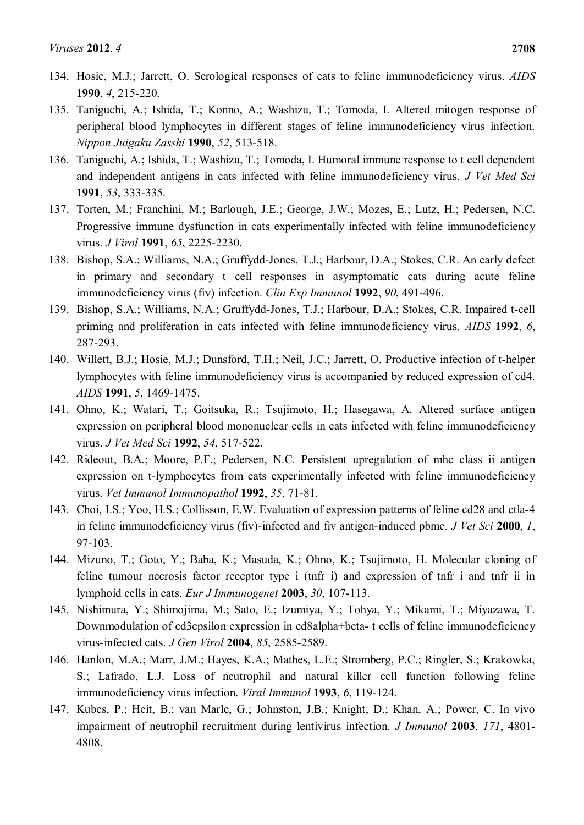- 134. Hosie, M.J.; Jarrett, O. Serological responses of cats to feline immunodeficiency virus. *AIDS*  **1990**, *4*, 215-220.
- 135. Taniguchi, A.; Ishida, T.; Konno, A.; Washizu, T.; Tomoda, I. Altered mitogen response of peripheral blood lymphocytes in different stages of feline immunodeficiency virus infection. *Nippon Juigaku Zasshi* **1990**, *52*, 513-518.
- 136. Taniguchi, A.; Ishida, T.; Washizu, T.; Tomoda, I. Humoral immune response to t cell dependent and independent antigens in cats infected with feline immunodeficiency virus. *J Vet Med Sci*  **1991**, *53*, 333-335.
- 137. Torten, M.; Franchini, M.; Barlough, J.E.; George, J.W.; Mozes, E.; Lutz, H.; Pedersen, N.C. Progressive immune dysfunction in cats experimentally infected with feline immunodeficiency virus. *J Virol* **1991**, *65*, 2225-2230.
- 138. Bishop, S.A.; Williams, N.A.; Gruffydd-Jones, T.J.; Harbour, D.A.; Stokes, C.R. An early defect in primary and secondary t cell responses in asymptomatic cats during acute feline immunodeficiency virus (fiv) infection. *Clin Exp Immunol* **1992**, *90*, 491-496.
- 139. Bishop, S.A.; Williams, N.A.; Gruffydd-Jones, T.J.; Harbour, D.A.; Stokes, C.R. Impaired t-cell priming and proliferation in cats infected with feline immunodeficiency virus. *AIDS* **1992**, *6*, 287-293.
- <span id="page-24-0"></span>140. Willett, B.J.; Hosie, M.J.; Dunsford, T.H.; Neil, J.C.; Jarrett, O. Productive infection of t-helper lymphocytes with feline immunodeficiency virus is accompanied by reduced expression of cd4. *AIDS* **1991**, *5*, 1469-1475.
- 141. Ohno, K.; Watari, T.; Goitsuka, R.; Tsujimoto, H.; Hasegawa, A. Altered surface antigen expression on peripheral blood mononuclear cells in cats infected with feline immunodeficiency virus. *J Vet Med Sci* **1992**, *54*, 517-522.
- 142. Rideout, B.A.; Moore, P.F.; Pedersen, N.C. Persistent upregulation of mhc class ii antigen expression on t-lymphocytes from cats experimentally infected with feline immunodeficiency virus. *Vet Immunol Immunopathol* **1992**, *35*, 71-81.
- 143. Choi, I.S.; Yoo, H.S.; Collisson, E.W. Evaluation of expression patterns of feline cd28 and ctla-4 in feline immunodeficiency virus (fiv)-infected and fiv antigen-induced pbmc. *J Vet Sci* **2000**, *1*, 97-103.
- 144. Mizuno, T.; Goto, Y.; Baba, K.; Masuda, K.; Ohno, K.; Tsujimoto, H. Molecular cloning of feline tumour necrosis factor receptor type i (tnfr i) and expression of tnfr i and tnfr ii in lymphoid cells in cats. *Eur J Immunogenet* **2003**, *30*, 107-113.
- <span id="page-24-1"></span>145. Nishimura, Y.; Shimojima, M.; Sato, E.; Izumiya, Y.; Tohya, Y.; Mikami, T.; Miyazawa, T. Downmodulation of cd3epsilon expression in cd8alpha+beta- t cells of feline immunodeficiency virus-infected cats. *J Gen Virol* **2004**, *85*, 2585-2589.
- <span id="page-24-2"></span>146. Hanlon, M.A.; Marr, J.M.; Hayes, K.A.; Mathes, L.E.; Stromberg, P.C.; Ringler, S.; Krakowka, S.; Lafrado, L.J. Loss of neutrophil and natural killer cell function following feline immunodeficiency virus infection. *Viral Immunol* **1993**, *6*, 119-124.
- 147. Kubes, P.; Heit, B.; van Marle, G.; Johnston, J.B.; Knight, D.; Khan, A.; Power, C. In vivo impairment of neutrophil recruitment during lentivirus infection. *J Immunol* **2003**, *171*, 4801- 4808.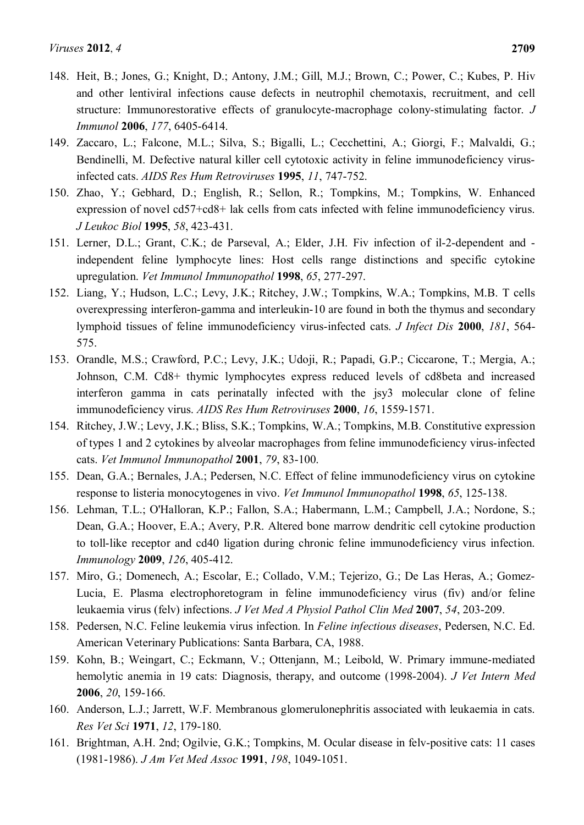- 148. Heit, B.; Jones, G.; Knight, D.; Antony, J.M.; Gill, M.J.; Brown, C.; Power, C.; Kubes, P. Hiv and other lentiviral infections cause defects in neutrophil chemotaxis, recruitment, and cell structure: Immunorestorative effects of granulocyte-macrophage colony-stimulating factor. *J Immunol* **2006**, *177*, 6405-6414.
- <span id="page-25-0"></span>149. Zaccaro, L.; Falcone, M.L.; Silva, S.; Bigalli, L.; Cecchettini, A.; Giorgi, F.; Malvaldi, G.; Bendinelli, M. Defective natural killer cell cytotoxic activity in feline immunodeficiency virusinfected cats. *AIDS Res Hum Retroviruses* **1995**, *11*, 747-752.
- <span id="page-25-1"></span>150. Zhao, Y.; Gebhard, D.; English, R.; Sellon, R.; Tompkins, M.; Tompkins, W. Enhanced expression of novel cd57+cd8+ lak cells from cats infected with feline immunodeficiency virus. *J Leukoc Biol* **1995**, *58*, 423-431.
- <span id="page-25-2"></span>151. Lerner, D.L.; Grant, C.K.; de Parseval, A.; Elder, J.H. Fiv infection of il-2-dependent and independent feline lymphocyte lines: Host cells range distinctions and specific cytokine upregulation. *Vet Immunol Immunopathol* **1998**, *65*, 277-297.
- 152. Liang, Y.; Hudson, L.C.; Levy, J.K.; Ritchey, J.W.; Tompkins, W.A.; Tompkins, M.B. T cells overexpressing interferon-gamma and interleukin-10 are found in both the thymus and secondary lymphoid tissues of feline immunodeficiency virus-infected cats. *J Infect Dis* **2000**, *181*, 564- 575.
- 153. Orandle, M.S.; Crawford, P.C.; Levy, J.K.; Udoji, R.; Papadi, G.P.; Ciccarone, T.; Mergia, A.; Johnson, C.M. Cd8+ thymic lymphocytes express reduced levels of cd8beta and increased interferon gamma in cats perinatally infected with the jsy3 molecular clone of feline immunodeficiency virus. *AIDS Res Hum Retroviruses* **2000**, *16*, 1559-1571.
- 154. Ritchey, J.W.; Levy, J.K.; Bliss, S.K.; Tompkins, W.A.; Tompkins, M.B. Constitutive expression of types 1 and 2 cytokines by alveolar macrophages from feline immunodeficiency virus-infected cats. *Vet Immunol Immunopathol* **2001**, *79*, 83-100.
- <span id="page-25-3"></span>155. Dean, G.A.; Bernales, J.A.; Pedersen, N.C. Effect of feline immunodeficiency virus on cytokine response to listeria monocytogenes in vivo. *Vet Immunol Immunopathol* **1998**, *65*, 125-138.
- <span id="page-25-4"></span>156. Lehman, T.L.; O'Halloran, K.P.; Fallon, S.A.; Habermann, L.M.; Campbell, J.A.; Nordone, S.; Dean, G.A.; Hoover, E.A.; Avery, P.R. Altered bone marrow dendritic cell cytokine production to toll-like receptor and cd40 ligation during chronic feline immunodeficiency virus infection. *Immunology* **2009**, *126*, 405-412.
- <span id="page-25-5"></span>157. Miro, G.; Domenech, A.; Escolar, E.; Collado, V.M.; Tejerizo, G.; De Las Heras, A.; Gomez-Lucia, E. Plasma electrophoretogram in feline immunodeficiency virus (fiv) and/or feline leukaemia virus (felv) infections. *J Vet Med A Physiol Pathol Clin Med* **2007**, *54*, 203-209.
- <span id="page-25-6"></span>158. Pedersen, N.C. Feline leukemia virus infection. In *Feline infectious diseases*, Pedersen, N.C. Ed. American Veterinary Publications: Santa Barbara, CA, 1988.
- <span id="page-25-7"></span>159. Kohn, B.; Weingart, C.; Eckmann, V.; Ottenjann, M.; Leibold, W. Primary immune-mediated hemolytic anemia in 19 cats: Diagnosis, therapy, and outcome (1998-2004). *J Vet Intern Med*  **2006**, *20*, 159-166.
- <span id="page-25-8"></span>160. Anderson, L.J.; Jarrett, W.F. Membranous glomerulonephritis associated with leukaemia in cats. *Res Vet Sci* **1971**, *12*, 179-180.
- <span id="page-25-9"></span>161. Brightman, A.H. 2nd; Ogilvie, G.K.; Tompkins, M. Ocular disease in felv-positive cats: 11 cases (1981-1986). *J Am Vet Med Assoc* **1991**, *198*, 1049-1051.